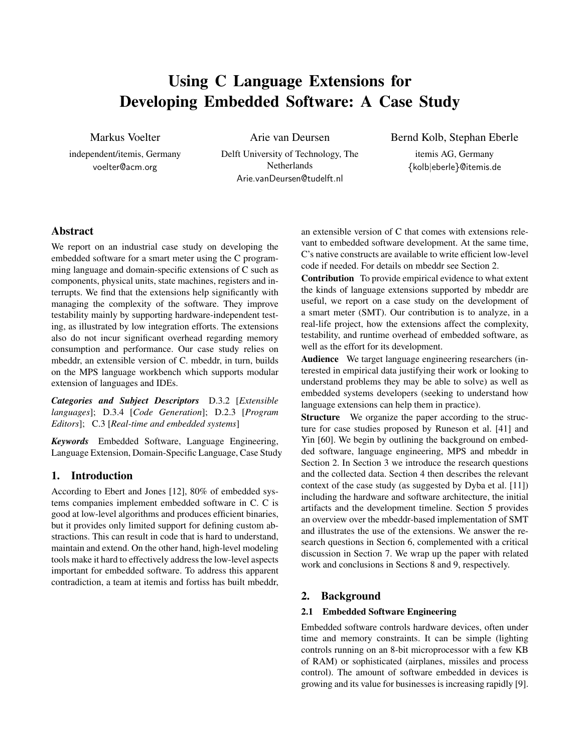# Using C Language Extensions for Developing Embedded Software: A Case Study

Markus Voelter

independent/itemis, Germany voelter@acm.org

Arie van Deursen

Delft University of Technology, The Netherlands Arie.vanDeursen@tudelft.nl

## Bernd Kolb, Stephan Eberle

itemis AG, Germany {kolb|eberle}@itemis.de

# Abstract

We report on an industrial case study on developing the embedded software for a smart meter using the C programming language and domain-specific extensions of C such as components, physical units, state machines, registers and interrupts. We find that the extensions help significantly with managing the complexity of the software. They improve testability mainly by supporting hardware-independent testing, as illustrated by low integration efforts. The extensions also do not incur significant overhead regarding memory consumption and performance. Our case study relies on mbeddr, an extensible version of C. mbeddr, in turn, builds on the MPS language workbench which supports modular extension of languages and IDEs.

*Categories and Subject Descriptors* D.3.2 [*Extensible languages*]; D.3.4 [*Code Generation*]; D.2.3 [*Program Editors*]; C.3 [*Real-time and embedded systems*]

*Keywords* Embedded Software, Language Engineering, Language Extension, Domain-Specific Language, Case Study

# 1. Introduction

According to Ebert and Jones [12], 80% of embedded systems companies implement embedded software in C. C is good at low-level algorithms and produces efficient binaries, but it provides only limited support for defining custom abstractions. This can result in code that is hard to understand, maintain and extend. On the other hand, high-level modeling tools make it hard to effectively address the low-level aspects important for embedded software. To address this apparent contradiction, a team at itemis and fortiss has built mbeddr,

an extensible version of C that comes with extensions relevant to embedded software development. At the same time, C's native constructs are available to write efficient low-level code if needed. For details on mbeddr see Section 2.

Contribution To provide empirical evidence to what extent the kinds of language extensions supported by mbeddr are useful, we report on a case study on the development of a smart meter (SMT). Our contribution is to analyze, in a real-life project, how the extensions affect the complexity, testability, and runtime overhead of embedded software, as well as the effort for its development.

Audience We target language engineering researchers (interested in empirical data justifying their work or looking to understand problems they may be able to solve) as well as embedded systems developers (seeking to understand how language extensions can help them in practice).

Structure We organize the paper according to the structure for case studies proposed by Runeson et al. [41] and Yin [60]. We begin by outlining the background on embedded software, language engineering, MPS and mbeddr in Section 2. In Section 3 we introduce the research questions and the collected data. Section 4 then describes the relevant context of the case study (as suggested by Dyba et al. [11]) including the hardware and software architecture, the initial artifacts and the development timeline. Section 5 provides an overview over the mbeddr-based implementation of SMT and illustrates the use of the extensions. We answer the research questions in Section 6, complemented with a critical discussion in Section 7. We wrap up the paper with related work and conclusions in Sections 8 and 9, respectively.

## 2. Background

#### 2.1 Embedded Software Engineering

Embedded software controls hardware devices, often under time and memory constraints. It can be simple (lighting controls running on an 8-bit microprocessor with a few KB of RAM) or sophisticated (airplanes, missiles and process control). The amount of software embedded in devices is growing and its value for businesses is increasing rapidly [9].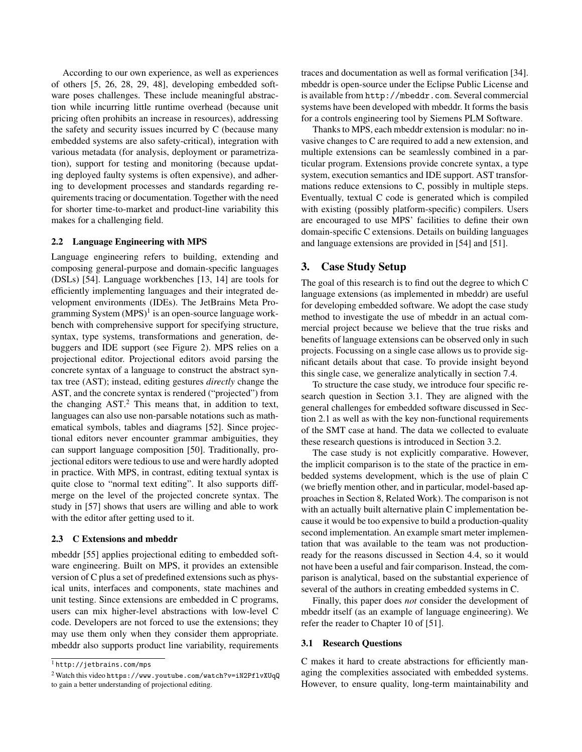According to our own experience, as well as experiences of others [5, 26, 28, 29, 48], developing embedded software poses challenges. These include meaningful abstraction while incurring little runtime overhead (because unit pricing often prohibits an increase in resources), addressing the safety and security issues incurred by C (because many embedded systems are also safety-critical), integration with various metadata (for analysis, deployment or parametrization), support for testing and monitoring (because updating deployed faulty systems is often expensive), and adhering to development processes and standards regarding requirements tracing or documentation. Together with the need for shorter time-to-market and product-line variability this makes for a challenging field.

#### 2.2 Language Engineering with MPS

Language engineering refers to building, extending and composing general-purpose and domain-specific languages (DSLs) [54]. Language workbenches [13, 14] are tools for efficiently implementing languages and their integrated development environments (IDEs). The JetBrains Meta Programming System (MPS)<sup>1</sup> is an open-source language workbench with comprehensive support for specifying structure, syntax, type systems, transformations and generation, debuggers and IDE support (see Figure 2). MPS relies on a projectional editor. Projectional editors avoid parsing the concrete syntax of a language to construct the abstract syntax tree (AST); instead, editing gestures *directly* change the AST, and the concrete syntax is rendered ("projected") from the changing  $AST.^2$  This means that, in addition to text, languages can also use non-parsable notations such as mathematical symbols, tables and diagrams [52]. Since projectional editors never encounter grammar ambiguities, they can support language composition [50]. Traditionally, projectional editors were tedious to use and were hardly adopted in practice. With MPS, in contrast, editing textual syntax is quite close to "normal text editing". It also supports diffmerge on the level of the projected concrete syntax. The study in [57] shows that users are willing and able to work with the editor after getting used to it.

#### 2.3 C Extensions and mbeddr

mbeddr [55] applies projectional editing to embedded software engineering. Built on MPS, it provides an extensible version of C plus a set of predefined extensions such as physical units, interfaces and components, state machines and unit testing. Since extensions are embedded in C programs, users can mix higher-level abstractions with low-level C code. Developers are not forced to use the extensions; they may use them only when they consider them appropriate. mbeddr also supports product line variability, requirements

traces and documentation as well as formal verification [34]. mbeddr is open-source under the Eclipse Public License and is available from http://mbeddr.com. Several commercial systems have been developed with mbeddr. It forms the basis for a controls engineering tool by Siemens PLM Software.

Thanks to MPS, each mbeddr extension is modular: no invasive changes to C are required to add a new extension, and multiple extensions can be seamlessly combined in a particular program. Extensions provide concrete syntax, a type system, execution semantics and IDE support. AST transformations reduce extensions to C, possibly in multiple steps. Eventually, textual C code is generated which is compiled with existing (possibly platform-specific) compilers. Users are encouraged to use MPS' facilities to define their own domain-specific C extensions. Details on building languages and language extensions are provided in [54] and [51].

## 3. Case Study Setup

The goal of this research is to find out the degree to which C language extensions (as implemented in mbeddr) are useful for developing embedded software. We adopt the case study method to investigate the use of mbeddr in an actual commercial project because we believe that the true risks and benefits of language extensions can be observed only in such projects. Focussing on a single case allows us to provide significant details about that case. To provide insight beyond this single case, we generalize analytically in section 7.4.

To structure the case study, we introduce four specific research question in Section 3.1. They are aligned with the general challenges for embedded software discussed in Section 2.1 as well as with the key non-functional requirements of the SMT case at hand. The data we collected to evaluate these research questions is introduced in Section 3.2.

The case study is not explicitly comparative. However, the implicit comparison is to the state of the practice in embedded systems development, which is the use of plain C (we briefly mention other, and in particular, model-based approaches in Section 8, Related Work). The comparison is not with an actually built alternative plain C implementation because it would be too expensive to build a production-quality second implementation. An example smart meter implementation that was available to the team was not productionready for the reasons discussed in Section 4.4, so it would not have been a useful and fair comparison. Instead, the comparison is analytical, based on the substantial experience of several of the authors in creating embedded systems in C.

Finally, this paper does *not* consider the development of mbeddr itself (as an example of language engineering). We refer the reader to Chapter 10 of [51].

#### 3.1 Research Questions

C makes it hard to create abstractions for efficiently managing the complexities associated with embedded systems. However, to ensure quality, long-term maintainability and

<sup>1</sup> http://jetbrains.com/mps

<sup>2</sup> Watch this video https://www.youtube.com/watch?v=iN2PflvXUqQ to gain a better understanding of projectional editing.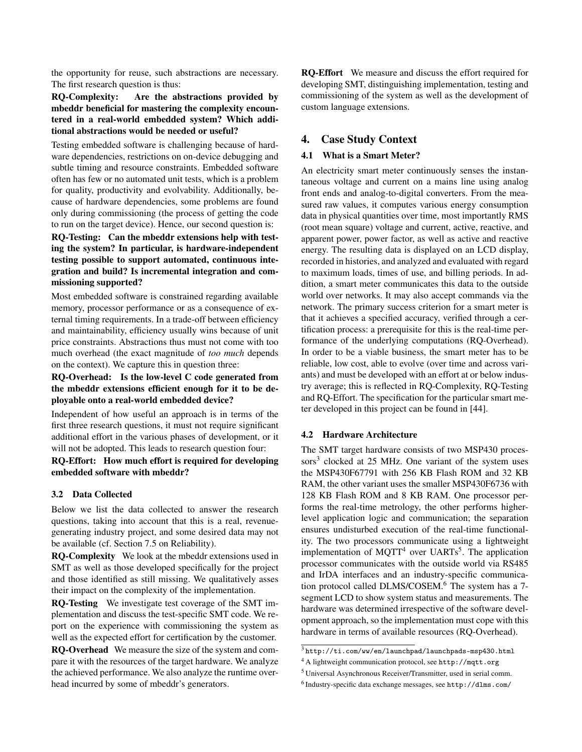the opportunity for reuse, such abstractions are necessary. The first research question is thus:

## RQ-Complexity: Are the abstractions provided by mbeddr beneficial for mastering the complexity encountered in a real-world embedded system? Which additional abstractions would be needed or useful?

Testing embedded software is challenging because of hardware dependencies, restrictions on on-device debugging and subtle timing and resource constraints. Embedded software often has few or no automated unit tests, which is a problem for quality, productivity and evolvability. Additionally, because of hardware dependencies, some problems are found only during commissioning (the process of getting the code to run on the target device). Hence, our second question is: RQ-Testing: Can the mbeddr extensions help with testing the system? In particular, is hardware-independent testing possible to support automated, continuous integration and build? Is incremental integration and commissioning supported?

Most embedded software is constrained regarding available memory, processor performance or as a consequence of external timing requirements. In a trade-off between efficiency and maintainability, efficiency usually wins because of unit price constraints. Abstractions thus must not come with too much overhead (the exact magnitude of *too much* depends on the context). We capture this in question three:

## RQ-Overhead: Is the low-level C code generated from the mbeddr extensions efficient enough for it to be deployable onto a real-world embedded device?

Independent of how useful an approach is in terms of the first three research questions, it must not require significant additional effort in the various phases of development, or it will not be adopted. This leads to research question four:

RQ-Effort: How much effort is required for developing embedded software with mbeddr?

#### 3.2 Data Collected

Below we list the data collected to answer the research questions, taking into account that this is a real, revenuegenerating industry project, and some desired data may not be available (cf. Section 7.5 on Reliability).

RQ-Complexity We look at the mbeddr extensions used in SMT as well as those developed specifically for the project and those identified as still missing. We qualitatively asses their impact on the complexity of the implementation.

RQ-Testing We investigate test coverage of the SMT implementation and discuss the test-specific SMT code. We report on the experience with commissioning the system as well as the expected effort for certification by the customer.

RQ-Overhead We measure the size of the system and compare it with the resources of the target hardware. We analyze the achieved performance. We also analyze the runtime overhead incurred by some of mbeddr's generators.

RQ-Effort We measure and discuss the effort required for developing SMT, distinguishing implementation, testing and commissioning of the system as well as the development of custom language extensions.

## 4. Case Study Context

## 4.1 What is a Smart Meter?

An electricity smart meter continuously senses the instantaneous voltage and current on a mains line using analog front ends and analog-to-digital converters. From the measured raw values, it computes various energy consumption data in physical quantities over time, most importantly RMS (root mean square) voltage and current, active, reactive, and apparent power, power factor, as well as active and reactive energy. The resulting data is displayed on an LCD display, recorded in histories, and analyzed and evaluated with regard to maximum loads, times of use, and billing periods. In addition, a smart meter communicates this data to the outside world over networks. It may also accept commands via the network. The primary success criterion for a smart meter is that it achieves a specified accuracy, verified through a certification process: a prerequisite for this is the real-time performance of the underlying computations (RQ-Overhead). In order to be a viable business, the smart meter has to be reliable, low cost, able to evolve (over time and across variants) and must be developed with an effort at or below industry average; this is reflected in RQ-Complexity, RQ-Testing and RQ-Effort. The specification for the particular smart meter developed in this project can be found in [44].

#### 4.2 Hardware Architecture

The SMT target hardware consists of two MSP430 processors<sup>3</sup> clocked at 25 MHz. One variant of the system uses the MSP430F67791 with 256 KB Flash ROM and 32 KB RAM, the other variant uses the smaller MSP430F6736 with 128 KB Flash ROM and 8 KB RAM. One processor performs the real-time metrology, the other performs higherlevel application logic and communication; the separation ensures undisturbed execution of the real-time functionality. The two processors communicate using a lightweight implementation of MQTT<sup>4</sup> over UARTs<sup>5</sup>. The application processor communicates with the outside world via RS485 and IrDA interfaces and an industry-specific communication protocol called DLMS/COSEM.<sup>6</sup> The system has a 7segment LCD to show system status and measurements. The hardware was determined irrespective of the software development approach, so the implementation must cope with this hardware in terms of available resources (RQ-Overhead).

 $^3$ http://ti.com/ww/en/launchpad/launchpads-msp430.html

<sup>4</sup> A lightweight communication protocol, see http://mqtt.org

<sup>5</sup> Universal Asynchronous Receiver/Transmitter, used in serial comm.

<sup>6</sup> Industry-specific data exchange messages, see http://dlms.com/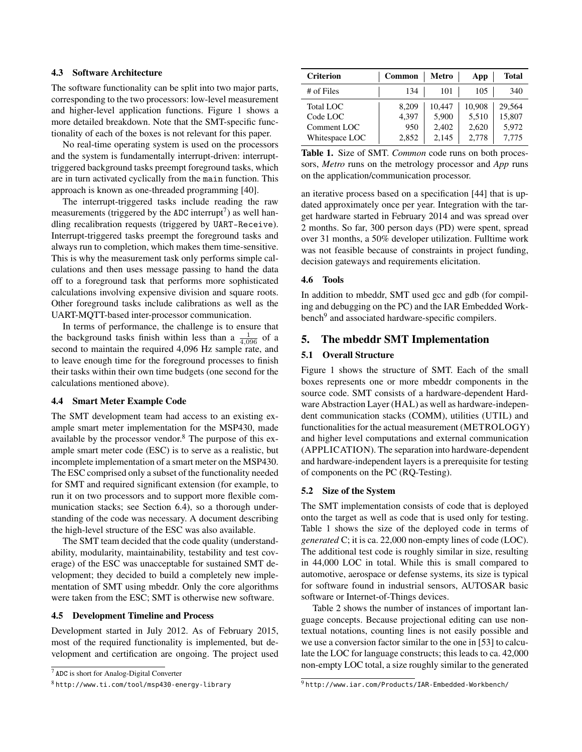#### 4.3 Software Architecture

The software functionality can be split into two major parts, corresponding to the two processors: low-level measurement and higher-level application functions. Figure 1 shows a more detailed breakdown. Note that the SMT-specific functionality of each of the boxes is not relevant for this paper.

No real-time operating system is used on the processors and the system is fundamentally interrupt-driven: interrupttriggered background tasks preempt foreground tasks, which are in turn activated cyclically from the main function. This approach is known as one-threaded programming [40].

The interrupt-triggered tasks include reading the raw measurements (triggered by the ADC interrupt<sup>7</sup>) as well handling recalibration requests (triggered by UART-Receive). Interrupt-triggered tasks preempt the foreground tasks and always run to completion, which makes them time-sensitive. This is why the measurement task only performs simple calculations and then uses message passing to hand the data off to a foreground task that performs more sophisticated calculations involving expensive division and square roots. Other foreground tasks include calibrations as well as the UART-MQTT-based inter-processor communication.

In terms of performance, the challenge is to ensure that the background tasks finish within less than a  $\frac{1}{4,096}$  of a second to maintain the required 4,096 Hz sample rate, and to leave enough time for the foreground processes to finish their tasks within their own time budgets (one second for the calculations mentioned above).

#### 4.4 Smart Meter Example Code

The SMT development team had access to an existing example smart meter implementation for the MSP430, made available by the processor vendor.<sup>8</sup> The purpose of this example smart meter code (ESC) is to serve as a realistic, but incomplete implementation of a smart meter on the MSP430. The ESC comprised only a subset of the functionality needed for SMT and required significant extension (for example, to run it on two processors and to support more flexible communication stacks; see Section 6.4), so a thorough understanding of the code was necessary. A document describing the high-level structure of the ESC was also available.

The SMT team decided that the code quality (understandability, modularity, maintainability, testability and test coverage) of the ESC was unacceptable for sustained SMT development; they decided to build a completely new implementation of SMT using mbeddr. Only the core algorithms were taken from the ESC; SMT is otherwise new software.

#### 4.5 Development Timeline and Process

Development started in July 2012. As of February 2015, most of the required functionality is implemented, but development and certification are ongoing. The project used

| <b>Criterion</b> | Common | <b>Metro</b> | App    | <b>Total</b> |
|------------------|--------|--------------|--------|--------------|
| # of Files       | 134    | 101          | 105    | 340          |
| Total LOC        | 8.209  | 10.447       | 10,908 | 29.564       |
| Code LOC         | 4.397  | 5,900        | 5,510  | 15,807       |
| Comment LOC      | 950    | 2,402        | 2,620  | 5,972        |
| Whitespace LOC   | 2,852  | 2,145        | 2,778  | 7.775        |

Table 1. Size of SMT. *Common* code runs on both processors, *Metro* runs on the metrology processor and *App* runs on the application/communication processor.

an iterative process based on a specification [44] that is updated approximately once per year. Integration with the target hardware started in February 2014 and was spread over 2 months. So far, 300 person days (PD) were spent, spread over 31 months, a 50% developer utilization. Fulltime work was not feasible because of constraints in project funding, decision gateways and requirements elicitation.

## 4.6 Tools

In addition to mbeddr, SMT used gcc and gdb (for compiling and debugging on the PC) and the IAR Embedded Workbench<sup>9</sup> and associated hardware-specific compilers.

## 5. The mbeddr SMT Implementation

#### 5.1 Overall Structure

Figure 1 shows the structure of SMT. Each of the small boxes represents one or more mbeddr components in the source code. SMT consists of a hardware-dependent Hardware Abstraction Layer (HAL) as well as hardware-independent communication stacks (COMM), utilities (UTIL) and functionalities for the actual measurement (METROLOGY) and higher level computations and external communication (APPLICATION). The separation into hardware-dependent and hardware-independent layers is a prerequisite for testing of components on the PC (RQ-Testing).

## 5.2 Size of the System

The SMT implementation consists of code that is deployed onto the target as well as code that is used only for testing. Table 1 shows the size of the deployed code in terms of *generated* C; it is ca. 22,000 non-empty lines of code (LOC). The additional test code is roughly similar in size, resulting in 44,000 LOC in total. While this is small compared to automotive, aerospace or defense systems, its size is typical for software found in industrial sensors, AUTOSAR basic software or Internet-of-Things devices.

Table 2 shows the number of instances of important language concepts. Because projectional editing can use nontextual notations, counting lines is not easily possible and we use a conversion factor similar to the one in [53] to calculate the LOC for language constructs; this leads to ca. 42,000 non-empty LOC total, a size roughly similar to the generated

<sup>7</sup> ADC is short for Analog-Digital Converter

<sup>8</sup> http://www.ti.com/tool/msp430-energy-library

<sup>9</sup> http://www.iar.com/Products/IAR-Embedded-Workbench/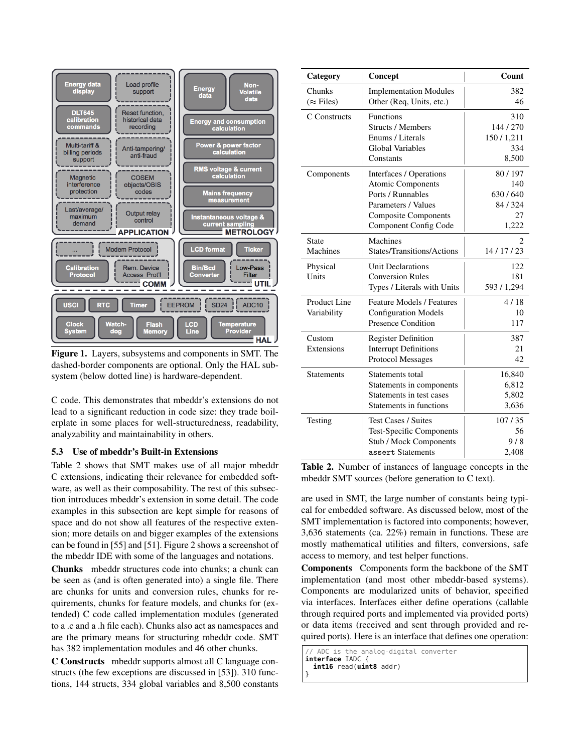

Figure 1. Layers, subsystems and components in SMT. The dashed-border components are optional. Only the HAL subsystem (below dotted line) is hardware-dependent.

C code. This demonstrates that mbeddr's extensions do not lead to a significant reduction in code size: they trade boilerplate in some places for well-structuredness, readability, analyzability and maintainability in others.

## 5.3 Use of mbeddr's Built-in Extensions

Table 2 shows that SMT makes use of all major mbeddr C extensions, indicating their relevance for embedded software, as well as their composability. The rest of this subsection introduces mbeddr's extension in some detail. The code examples in this subsection are kept simple for reasons of space and do not show all features of the respective extension; more details on and bigger examples of the extensions can be found in [55] and [51]. Figure 2 shows a screenshot of the mbeddr IDE with some of the languages and notations.

Chunks mbeddr structures code into chunks; a chunk can be seen as (and is often generated into) a single file. There are chunks for units and conversion rules, chunks for requirements, chunks for feature models, and chunks for (extended) C code called implementation modules (generated to a .c and a .h file each). Chunks also act as namespaces and are the primary means for structuring mbeddr code. SMT has 382 implementation modules and 46 other chunks.

C Constructs mbeddr supports almost all C language constructs (the few exceptions are discussed in [53]). 310 functions, 144 structs, 334 global variables and 8,500 constants

| Category                           | Concept                                                                                                                                                 | Count                                             |  |  |
|------------------------------------|---------------------------------------------------------------------------------------------------------------------------------------------------------|---------------------------------------------------|--|--|
| Chunks<br>$(\approx$ Files)        | <b>Implementation Modules</b><br>Other (Req, Units, etc.)                                                                                               | 382<br>46                                         |  |  |
| C Constructs                       | Functions<br><b>Structs / Members</b><br>Enums / Literals<br><b>Global Variables</b><br>Constants                                                       | 310<br>144/270<br>150/1,211<br>334<br>8,500       |  |  |
| Components                         | Interfaces / Operations<br><b>Atomic Components</b><br>Ports / Runnables<br>Parameters / Values<br><b>Composite Components</b><br>Component Config Code | 80/197<br>140<br>630/640<br>84/324<br>27<br>1,222 |  |  |
| <b>State</b><br>Machines           | Machines<br><b>States/Transitions/Actions</b>                                                                                                           | 14/17/23                                          |  |  |
| Physical<br>Units                  | <b>Unit Declarations</b><br><b>Conversion Rules</b><br>Types / Literals with Units                                                                      | 122<br>181<br>593 / 1,294                         |  |  |
| <b>Product Line</b><br>Variability | <b>Feature Models / Features</b><br><b>Configuration Models</b><br><b>Presence Condition</b>                                                            | 4/18<br>10<br>117                                 |  |  |
| Custom<br>Extensions               | <b>Register Definition</b><br><b>Interrupt Definitions</b><br>Protocol Messages                                                                         | 387<br>21<br>42                                   |  |  |
| <b>Statements</b>                  | Statements total<br>Statements in components<br>Statements in test cases<br>Statements in functions                                                     | 16,840<br>6,812<br>5,802<br>3,636                 |  |  |
| Testing                            | <b>Test Cases / Suites</b><br><b>Test-Specific Components</b><br>Stub / Mock Components<br>assert Statements                                            | 107/35<br>56<br>9/8<br>2,408                      |  |  |

Table 2. Number of instances of language concepts in the mbeddr SMT sources (before generation to C text).

are used in SMT, the large number of constants being typical for embedded software. As discussed below, most of the SMT implementation is factored into components; however, 3,636 statements (ca. 22%) remain in functions. These are mostly mathematical utilities and filters, conversions, safe access to memory, and test helper functions.

Components Components form the backbone of the SMT implementation (and most other mbeddr-based systems). Components are modularized units of behavior, specified via interfaces. Interfaces either define operations (callable through required ports and implemented via provided ports) or data items (received and sent through provided and required ports). Here is an interface that defines one operation:

ADC is the analog-digital converter **interface** IADC { **int16** read(**uint8** addr) }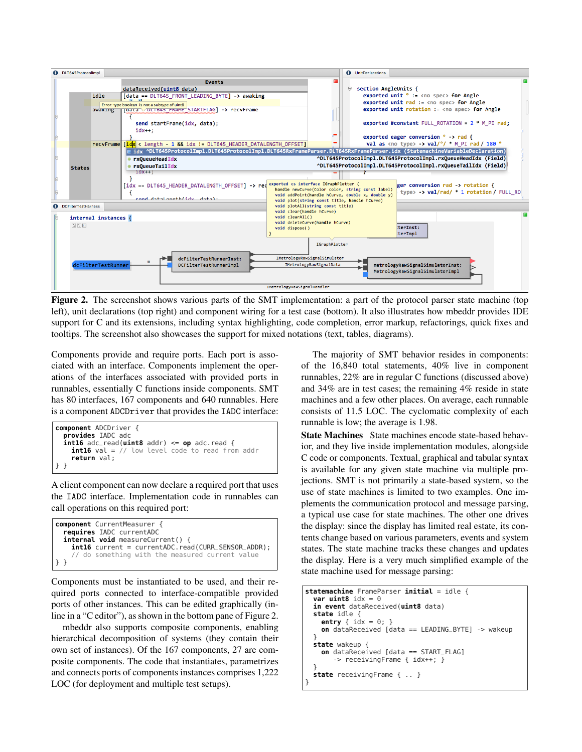

Figure 2. The screenshot shows various parts of the SMT implementation: a part of the protocol parser state machine (top left), unit declarations (top right) and component wiring for a test case (bottom). It also illustrates how mbeddr provides IDE support for C and its extensions, including syntax highlighting, code completion, error markup, refactorings, quick fixes and tooltips. The screenshot also showcases the support for mixed notations (text, tables, diagrams).

Components provide and require ports. Each port is associated with an interface. Components implement the operations of the interfaces associated with provided ports in runnables, essentially C functions inside components. SMT has 80 interfaces, 167 components and 640 runnables. Here is a component ADCDriver that provides the IADC interface:

```
component ADCDriver {
  provides IADC adc
  int16 adc_read(uint8 addr) <= op adc.read {
    int16 val = // low level code to read from addr
    return val;
} }
```
A client component can now declare a required port that uses the IADC interface. Implementation code in runnables can call operations on this required port:

```
component CurrentMeasurer {
  requires IADC currentADC
  internal void measureCurrent() {
    int16 current = currentADC.read(CURR_SENSOR_ADDR);
      do something with the measured current value
} }
```
Components must be instantiated to be used, and their required ports connected to interface-compatible provided ports of other instances. This can be edited graphically (inline in a "C editor"), as shown in the bottom pane of Figure 2.

mbeddr also supports composite components, enabling hierarchical decomposition of systems (they contain their own set of instances). Of the 167 components, 27 are composite components. The code that instantiates, parametrizes and connects ports of components instances comprises 1,222 LOC (for deployment and multiple test setups).

The majority of SMT behavior resides in components: of the 16,840 total statements, 40% live in component runnables, 22% are in regular C functions (discussed above) and 34% are in test cases; the remaining 4% reside in state machines and a few other places. On average, each runnable consists of 11.5 LOC. The cyclomatic complexity of each runnable is low; the average is 1.98.

State Machines State machines encode state-based behavior, and they live inside implementation modules, alongside C code or components. Textual, graphical and tabular syntax is available for any given state machine via multiple projections. SMT is not primarily a state-based system, so the use of state machines is limited to two examples. One implements the communication protocol and message parsing, a typical use case for state machines. The other one drives the display: since the display has limited real estate, its contents change based on various parameters, events and system states. The state machine tracks these changes and updates the display. Here is a very much simplified example of the state machine used for message parsing:

```
statemachine FrameParser initial = idle {
 var uint8 idx = 0in event dataReceived(uint8 data)
 state idle {
    entry \{ idx = 0;on dataReceived [data == LEADING_BYTE] -> wakeup
  }
 state wakeup {
    on dataReceived [data == START_FLAG]
       -> receivingFrame { idx++; }
  }
 state receivingFrame { .. }
}
```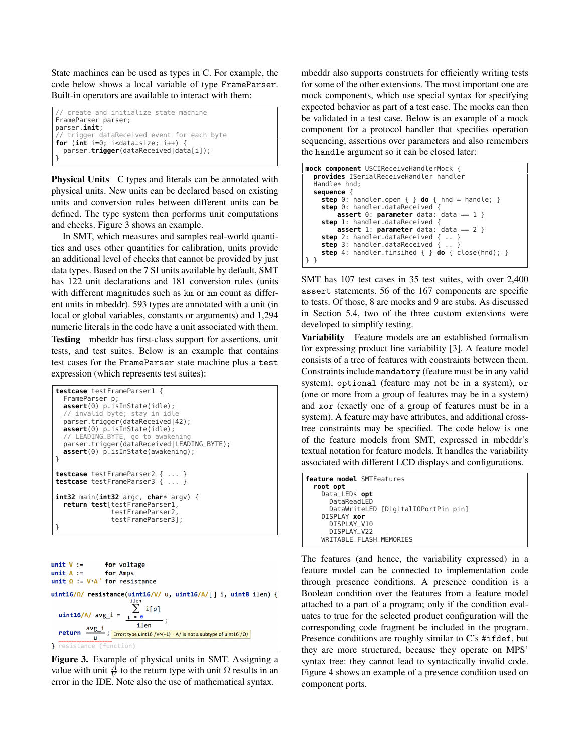State machines can be used as types in C. For example, the code below shows a local variable of type FrameParser. Built-in operators are available to interact with them:

```
// create and initialize state machine
FrameParser parser;
parser.init;
   trigger dataReceived event for each byte
for (int i=0; i<data_size; i++) {
 parser.trigger(dataReceived|data[i]);
}
```
Physical Units C types and literals can be annotated with physical units. New units can be declared based on existing units and conversion rules between different units can be defined. The type system then performs unit computations and checks. Figure 3 shows an example.

In SMT, which measures and samples real-world quantities and uses other quantities for calibration, units provide an additional level of checks that cannot be provided by just data types. Based on the 7 SI units available by default, SMT has 122 unit declarations and 181 conversion rules (units with different magnitudes such as km or mm count as different units in mbeddr). 593 types are annotated with a unit (in local or global variables, constants or arguments) and 1,294 numeric literals in the code have a unit associated with them. Testing mbeddr has first-class support for assertions, unit tests, and test suites. Below is an example that contains test cases for the FrameParser state machine plus a test expression (which represents test suites):

| <b>testcase</b> testFrameParser1 {<br>FrameParser p;<br>$assert(0)$ $p.isInState(idle);$<br>// invalid byte; stay in idle<br>parser.trigger(dataReceived 42);<br>$assert(0)$ $p.isInState(idle);$<br>// LEADING_BYTE, go to awakening<br>parser.trigger(dataReceived LEADING_BYTE);<br>$assert(0)$ $p.isInState(awakening);$ |
|------------------------------------------------------------------------------------------------------------------------------------------------------------------------------------------------------------------------------------------------------------------------------------------------------------------------------|
| ł<br><b>testcase</b> testFrameParser2 {  }<br><b>testcase</b> testFrameParser3 $\{ \ldots \}$                                                                                                                                                                                                                                |
| $int32$ main( $int32$ argc, char* argv) {<br>return test[testFrameParser1,<br>testFrameParser2,<br>testFrameParser3];                                                                                                                                                                                                        |

| $unit V :=$ for voltage<br>$unit A :=$ for Amps<br>unit $\Omega := V A^{-1}$ for resistance                                                                                  |  |      |      |  |  |  |  |
|------------------------------------------------------------------------------------------------------------------------------------------------------------------------------|--|------|------|--|--|--|--|
| uint16/ $\Omega$ / resistance(uint16/V/ u, uint16/A/[] i, uint8 ilen) {<br>uint16/A/ $avg_i = \sum_{p = 0} i[p]$                                                             |  | ilen |      |  |  |  |  |
| <b>return</b> $\frac{avg_i}{s}$ $\frac{11en}{Error: type \text{ unit16 } / V^{A}(-1) + A / \text{ is not a subtype of \text{ unit16 } / \Omega /}$<br>Presistance (function) |  |      | ilen |  |  |  |  |

Figure 3. Example of physical units in SMT. Assigning a value with unit  $\frac{A}{V}$  to the return type with unit  $\Omega$  results in an error in the IDE. Note also the use of mathematical syntax.

mbeddr also supports constructs for efficiently writing tests for some of the other extensions. The most important one are mock components, which use special syntax for specifying expected behavior as part of a test case. The mocks can then be validated in a test case. Below is an example of a mock component for a protocol handler that specifies operation sequencing, assertions over parameters and also remembers the handle argument so it can be closed later:

```
mock component USCIReceiveHandlerMock {
  provides ISerialReceiveHandler handler
  Handlex hnd:
  sequence {
    step 0: handler.open { } do { hnd = handle; }
    step 0: handler.dataReceived {
         assert 0: parameter data: data == 1 }
    step 1: handler.dataReceived {
        assert 1: parameter data: data == 2 }
    step 2: handler.dataReceived { .. }<br>step 3: handler.dataReceived { .. }
    step 3: handler.dataReceived {
    step 4: handler.finsihed { } do { close(hnd); }
} }
```
SMT has 107 test cases in 35 test suites, with over 2,400 assert statements. 56 of the 167 components are specific to tests. Of those, 8 are mocks and 9 are stubs. As discussed in Section 5.4, two of the three custom extensions were developed to simplify testing.

Variability Feature models are an established formalism for expressing product line variability [3]. A feature model consists of a tree of features with constraints between them. Constraints include mandatory (feature must be in any valid system), optional (feature may not be in a system), or (one or more from a group of features may be in a system) and xor (exactly one of a group of features must be in a system). A feature may have attributes, and additional crosstree constraints may be specified. The code below is one of the feature models from SMT, expressed in mbeddr's textual notation for feature models. It handles the variability associated with different LCD displays and configurations.

| feature model SMTFeatures<br>root opt |
|---------------------------------------|
| Data_LEDs opt                         |
| DataReadLED                           |
| DataWriteLED [DigitalIOPortPin pin]   |
| DISPLAY xor                           |
| DISPLAY_V10                           |
| DISPLAY_V22                           |
| WRITABLE_FLASH_MEMORIES               |

The features (and hence, the variability expressed) in a feature model can be connected to implementation code through presence conditions. A presence condition is a Boolean condition over the features from a feature model attached to a part of a program; only if the condition evaluates to true for the selected product configuration will the corresponding code fragment be included in the program. Presence conditions are roughly similar to C's #ifdef, but they are more structured, because they operate on MPS' syntax tree: they cannot lead to syntactically invalid code. Figure 4 shows an example of a presence condition used on component ports.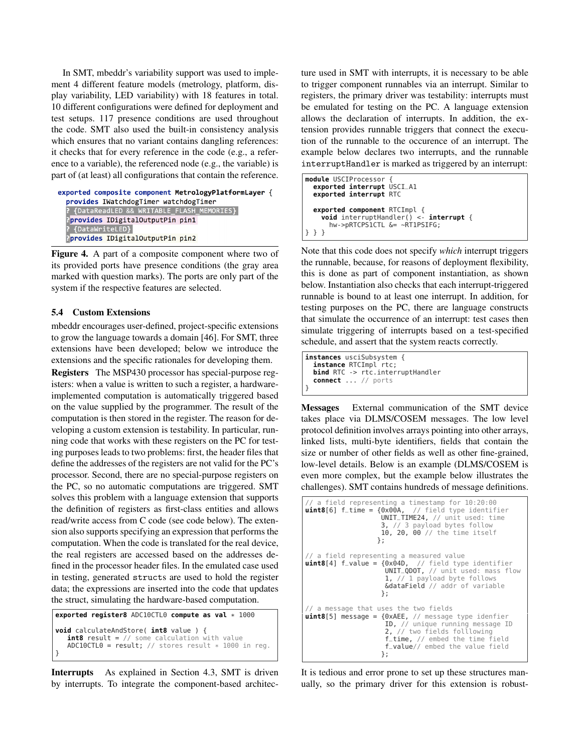In SMT, mbeddr's variability support was used to implement 4 different feature models (metrology, platform, display variability, LED variability) with 18 features in total. 10 different configurations were defined for deployment and test setups. 117 presence conditions are used throughout the code. SMT also used the built-in consistency analysis which ensures that no variant contains dangling references: it checks that for every reference in the code (e.g., a reference to a variable), the referenced node (e.g., the variable) is part of (at least) all configurations that contain the reference.

```
exported composite component MetrologyPlatformLayer {
  provides IWatchdogTimer watchdogTimer
   {DataReadLED && WRITABLE FLASH MEMORIES}
  Pprovides IDigitalOutputPin pin1
   {DataWriteLED}
  Pprovides IDigitalOutputPin pin2
```
Figure 4. A part of a composite component where two of its provided ports have presence conditions (the gray area marked with question marks). The ports are only part of the system if the respective features are selected.

#### 5.4 Custom Extensions

mbeddr encourages user-defined, project-specific extensions to grow the language towards a domain [46]. For SMT, three extensions have been developed; below we introduce the extensions and the specific rationales for developing them.

Registers The MSP430 processor has special-purpose registers: when a value is written to such a register, a hardwareimplemented computation is automatically triggered based on the value supplied by the programmer. The result of the computation is then stored in the register. The reason for developing a custom extension is testability. In particular, running code that works with these registers on the PC for testing purposes leads to two problems: first, the header files that define the addresses of the registers are not valid for the PC's processor. Second, there are no special-purpose registers on the PC, so no automatic computations are triggered. SMT solves this problem with a language extension that supports the definition of registers as first-class entities and allows read/write access from C code (see code below). The extension also supports specifying an expression that performs the computation. When the code is translated for the real device, the real registers are accessed based on the addresses defined in the processor header files. In the emulated case used in testing, generated structs are used to hold the register data; the expressions are inserted into the code that updates the struct, simulating the hardware-based computation.

```
exported register8 ADC10CTL0 compute as val * 1000
void calculateAndStore( int8 value ) {
   int8 result = // some calculation with value
   ADC10CTL0 = result; // stores result * 1000 in reg.}
```
Interrupts As explained in Section 4.3, SMT is driven by interrupts. To integrate the component-based architecture used in SMT with interrupts, it is necessary to be able to trigger component runnables via an interrupt. Similar to registers, the primary driver was testability: interrupts must be emulated for testing on the PC. A language extension allows the declaration of interrupts. In addition, the extension provides runnable triggers that connect the execution of the runnable to the occurence of an interrupt. The example below declares two interrupts, and the runnable interruptHandler is marked as triggered by an interrupt:

```
module USCIProcessor {
  exported interrupt USCI_A1
  exported interrupt RTC
  exported component RTCImpl {
    void interruptHandler() <- interrupt {
      hw->pRTCPS1CTL &= ~RT1PSIFG;
} } }
```
Note that this code does not specify *which* interrupt triggers the runnable, because, for reasons of deployment flexibility, this is done as part of component instantiation, as shown below. Instantiation also checks that each interrupt-triggered runnable is bound to at least one interrupt. In addition, for testing purposes on the PC, there are language constructs that simulate the occurrence of an interrupt: test cases then simulate triggering of interrupts based on a test-specified schedule, and assert that the system reacts correctly.

```
instances usciSubsystem {
  instance RTCImpl rtc;
 bind RTC -> rtc.interruptHandler
  connect ... // ports
}
```
Messages External communication of the SMT device takes place via DLMS/COSEM messages. The low level protocol definition involves arrays pointing into other arrays, linked lists, multi-byte identifiers, fields that contain the size or number of other fields as well as other fine-grained, low-level details. Below is an example (DLMS/COSEM is even more complex, but the example below illustrates the challenges). SMT contains hundreds of message definitions.

```
a field representing a timestamp for 10:20:00
uint8[6] f_time = {0x00A, // field type identifier
                      UNIT_TIME24, // unit used: time
                      3, // 3 payload bytes follow
                      10, 20, 00 // the time itself
                    };
// a field representing a measured value<br>uint8[4] f_value = {0x04D,  // field type identifier
uint8[4] f_{value} = \{0 \times 04D,UNIT_QDOT, // unit used: mass flow
                       1, // 1 payload byte follows
                       &dataField // addr of variable
                      };
// a message that uses the two fields
uint8[5] message = {0xAEE, // message type idenfier
ID, // unique running message ID
                       2, // two fields folllowing
                       f_time, // embed the time field
                       f_value// embed the value field
                      };
```
It is tedious and error prone to set up these structures manually, so the primary driver for this extension is robust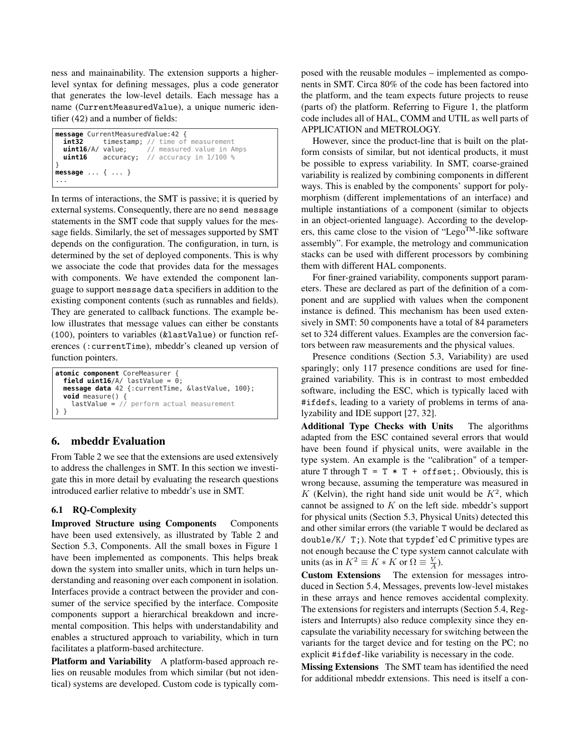ness and mainainability. The extension supports a higherlevel syntax for defining messages, plus a code generator that generates the low-level details. Each message has a name (CurrentMeasuredValue), a unique numeric identifier (42) and a number of fields:

```
message CurrentMeasuredValue:42 {
  int32 timestamp; // time of measurement
  uint16/A/ value; // measured value in Amps
 uint16 accuracy; // accuracy in 1/100 %
}
message ... { ... }
...
```
In terms of interactions, the SMT is passive; it is queried by external systems. Consequently, there are no send message statements in the SMT code that supply values for the message fields. Similarly, the set of messages supported by SMT depends on the configuration. The configuration, in turn, is determined by the set of deployed components. This is why we associate the code that provides data for the messages with components. We have extended the component language to support message data specifiers in addition to the existing component contents (such as runnables and fields). They are generated to callback functions. The example below illustrates that message values can either be constants (100), pointers to variables (&lastValue) or function references (:currentTime), mbeddr's cleaned up version of function pointers.

```
atomic component CoreMeasurer {
  field uint16/A lastValue = 0;
  message data 42 {:currentTime, &lastValue, 100};
  void measure() {
lastValue = // perform actual measurement
  } }
```
# 6. mbeddr Evaluation

From Table 2 we see that the extensions are used extensively to address the challenges in SMT. In this section we investigate this in more detail by evaluating the research questions introduced earlier relative to mbeddr's use in SMT.

## 6.1 RQ-Complexity

Improved Structure using Components Components have been used extensively, as illustrated by Table 2 and Section 5.3, Components. All the small boxes in Figure 1 have been implemented as components. This helps break down the system into smaller units, which in turn helps understanding and reasoning over each component in isolation. Interfaces provide a contract between the provider and consumer of the service specified by the interface. Composite components support a hierarchical breakdown and incremental composition. This helps with understandability and enables a structured approach to variability, which in turn facilitates a platform-based architecture.

Platform and Variability A platform-based approach relies on reusable modules from which similar (but not identical) systems are developed. Custom code is typically composed with the reusable modules – implemented as components in SMT. Circa 80% of the code has been factored into the platform, and the team expects future projects to reuse (parts of) the platform. Referring to Figure 1, the platform code includes all of HAL, COMM and UTIL as well parts of APPLICATION and METROLOGY.

However, since the product-line that is built on the platform consists of similar, but not identical products, it must be possible to express variability. In SMT, coarse-grained variability is realized by combining components in different ways. This is enabled by the components' support for polymorphism (different implementations of an interface) and multiple instantiations of a component (similar to objects in an object-oriented language). According to the developers, this came close to the vision of "Lego<sup>TM</sup>-like software" assembly". For example, the metrology and communication stacks can be used with different processors by combining them with different HAL components.

For finer-grained variability, components support parameters. These are declared as part of the definition of a component and are supplied with values when the component instance is defined. This mechanism has been used extensively in SMT: 50 components have a total of 84 parameters set to 324 different values. Examples are the conversion factors between raw measurements and the physical values.

Presence conditions (Section 5.3, Variability) are used sparingly; only 117 presence conditions are used for finegrained variability. This is in contrast to most embedded software, including the ESC, which is typically laced with #ifdefs, leading to a variety of problems in terms of analyzability and IDE support [27, 32].

Additional Type Checks with Units The algorithms adapted from the ESC contained several errors that would have been found if physical units, were available in the type system. An example is the "calibration" of a temperature T through  $T = T * T + \text{offset}$ ; Obviously, this is wrong because, assuming the temperature was measured in K (Kelvin), the right hand side unit would be  $K^2$ , which cannot be assigned to  $K$  on the left side. mbeddr's support for physical units (Section 5.3, Physical Units) detected this and other similar errors (the variable T would be declared as double/K/ T;). Note that typdef'ed C primitive types are not enough because the C type system cannot calculate with units (as in  $K^2 \equiv K * K$  or  $\Omega \equiv \frac{V}{A}$ ).

Custom Extensions The extension for messages introduced in Section 5.4, Messages, prevents low-level mistakes in these arrays and hence removes accidental complexity. The extensions for registers and interrupts (Section 5.4, Registers and Interrupts) also reduce complexity since they encapsulate the variability necessary for switching between the variants for the target device and for testing on the PC; no explicit #ifdef-like variability is necessary in the code.

Missing Extensions The SMT team has identified the need for additional mbeddr extensions. This need is itself a con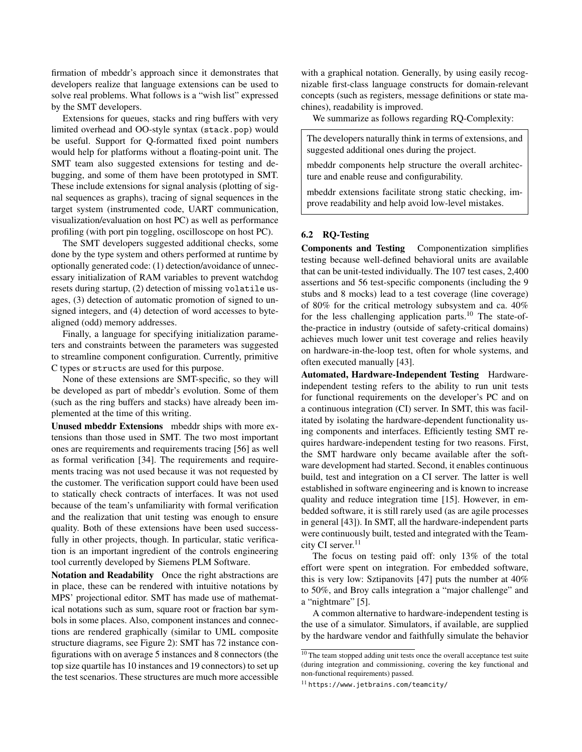firmation of mbeddr's approach since it demonstrates that developers realize that language extensions can be used to solve real problems. What follows is a "wish list" expressed by the SMT developers.

Extensions for queues, stacks and ring buffers with very limited overhead and OO-style syntax (stack.pop) would be useful. Support for Q-formatted fixed point numbers would help for platforms without a floating-point unit. The SMT team also suggested extensions for testing and debugging, and some of them have been prototyped in SMT. These include extensions for signal analysis (plotting of signal sequences as graphs), tracing of signal sequences in the target system (instrumented code, UART communication, visualization/evaluation on host PC) as well as performance profiling (with port pin toggling, oscilloscope on host PC).

The SMT developers suggested additional checks, some done by the type system and others performed at runtime by optionally generated code: (1) detection/avoidance of unnecessary initialization of RAM variables to prevent watchdog resets during startup, (2) detection of missing volatile usages, (3) detection of automatic promotion of signed to unsigned integers, and (4) detection of word accesses to bytealigned (odd) memory addresses.

Finally, a language for specifying initialization parameters and constraints between the parameters was suggested to streamline component configuration. Currently, primitive C types or structs are used for this purpose.

None of these extensions are SMT-specific, so they will be developed as part of mbeddr's evolution. Some of them (such as the ring buffers and stacks) have already been implemented at the time of this writing.

Unused mbeddr Extensions mbeddr ships with more extensions than those used in SMT. The two most important ones are requirements and requirements tracing [56] as well as formal verification [34]. The requirements and requirements tracing was not used because it was not requested by the customer. The verification support could have been used to statically check contracts of interfaces. It was not used because of the team's unfamiliarity with formal verification and the realization that unit testing was enough to ensure quality. Both of these extensions have been used successfully in other projects, though. In particular, static verification is an important ingredient of the controls engineering tool currently developed by Siemens PLM Software.

Notation and Readability Once the right abstractions are in place, these can be rendered with intuitive notations by MPS' projectional editor. SMT has made use of mathematical notations such as sum, square root or fraction bar symbols in some places. Also, component instances and connections are rendered graphically (similar to UML composite structure diagrams, see Figure 2): SMT has 72 instance configurations with on average 5 instances and 8 connectors (the top size quartile has 10 instances and 19 connectors) to set up the test scenarios. These structures are much more accessible

with a graphical notation. Generally, by using easily recognizable first-class language constructs for domain-relevant concepts (such as registers, message definitions or state machines), readability is improved.

We summarize as follows regarding RQ-Complexity:

The developers naturally think in terms of extensions, and suggested additional ones during the project.

mbeddr components help structure the overall architecture and enable reuse and configurability.

mbeddr extensions facilitate strong static checking, improve readability and help avoid low-level mistakes.

## 6.2 RQ-Testing

Components and Testing Componentization simplifies testing because well-defined behavioral units are available that can be unit-tested individually. The 107 test cases, 2,400 assertions and 56 test-specific components (including the 9 stubs and 8 mocks) lead to a test coverage (line coverage) of 80% for the critical metrology subsystem and ca. 40% for the less challenging application parts.<sup>10</sup> The state-ofthe-practice in industry (outside of safety-critical domains) achieves much lower unit test coverage and relies heavily on hardware-in-the-loop test, often for whole systems, and often executed manually [43].

Automated, Hardware-Independent Testing Hardwareindependent testing refers to the ability to run unit tests for functional requirements on the developer's PC and on a continuous integration (CI) server. In SMT, this was facilitated by isolating the hardware-dependent functionality using components and interfaces. Efficiently testing SMT requires hardware-independent testing for two reasons. First, the SMT hardware only became available after the software development had started. Second, it enables continuous build, test and integration on a CI server. The latter is well established in software engineering and is known to increase quality and reduce integration time [15]. However, in embedded software, it is still rarely used (as are agile processes in general [43]). In SMT, all the hardware-independent parts were continuously built, tested and integrated with the Teamcity CI server.<sup>11</sup>

The focus on testing paid off: only 13% of the total effort were spent on integration. For embedded software, this is very low: Sztipanovits [47] puts the number at 40% to 50%, and Broy calls integration a "major challenge" and a "nightmare" [5].

A common alternative to hardware-independent testing is the use of a simulator. Simulators, if available, are supplied by the hardware vendor and faithfully simulate the behavior

<sup>&</sup>lt;sup>10</sup> The team stopped adding unit tests once the overall acceptance test suite (during integration and commissioning, covering the key functional and non-functional requirements) passed.

<sup>11</sup> https://www.jetbrains.com/teamcity/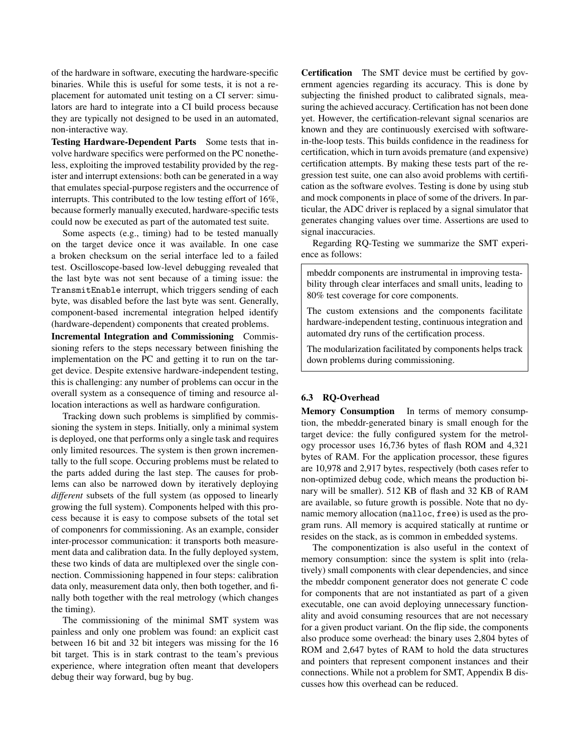of the hardware in software, executing the hardware-specific binaries. While this is useful for some tests, it is not a replacement for automated unit testing on a CI server: simulators are hard to integrate into a CI build process because they are typically not designed to be used in an automated, non-interactive way.

Testing Hardware-Dependent Parts Some tests that involve hardware specifics were performed on the PC nonetheless, exploiting the improved testability provided by the register and interrupt extensions: both can be generated in a way that emulates special-purpose registers and the occurrence of interrupts. This contributed to the low testing effort of 16%, because formerly manually executed, hardware-specific tests could now be executed as part of the automated test suite.

Some aspects (e.g., timing) had to be tested manually on the target device once it was available. In one case a broken checksum on the serial interface led to a failed test. Oscilloscope-based low-level debugging revealed that the last byte was not sent because of a timing issue: the TransmitEnable interrupt, which triggers sending of each byte, was disabled before the last byte was sent. Generally, component-based incremental integration helped identify (hardware-dependent) components that created problems.

Incremental Integration and Commissioning Commissioning refers to the steps necessary between finishing the implementation on the PC and getting it to run on the target device. Despite extensive hardware-independent testing, this is challenging: any number of problems can occur in the overall system as a consequence of timing and resource allocation interactions as well as hardware configuration.

Tracking down such problems is simplified by commissioning the system in steps. Initially, only a minimal system is deployed, one that performs only a single task and requires only limited resources. The system is then grown incrementally to the full scope. Occuring problems must be related to the parts added during the last step. The causes for problems can also be narrowed down by iteratively deploying *different* subsets of the full system (as opposed to linearly growing the full system). Components helped with this process because it is easy to compose subsets of the total set of componenrs for commissioning. As an example, consider inter-processor communication: it transports both measurement data and calibration data. In the fully deployed system, these two kinds of data are multiplexed over the single connection. Commissioning happened in four steps: calibration data only, measurement data only, then both together, and finally both together with the real metrology (which changes the timing).

The commissioning of the minimal SMT system was painless and only one problem was found: an explicit cast between 16 bit and 32 bit integers was missing for the 16 bit target. This is in stark contrast to the team's previous experience, where integration often meant that developers debug their way forward, bug by bug.

Certification The SMT device must be certified by government agencies regarding its accuracy. This is done by subjecting the finished product to calibrated signals, measuring the achieved accuracy. Certification has not been done yet. However, the certification-relevant signal scenarios are known and they are continuously exercised with softwarein-the-loop tests. This builds confidence in the readiness for certification, which in turn avoids premature (and expensive) certification attempts. By making these tests part of the regression test suite, one can also avoid problems with certification as the software evolves. Testing is done by using stub and mock components in place of some of the drivers. In particular, the ADC driver is replaced by a signal simulator that generates changing values over time. Assertions are used to signal inaccuracies.

Regarding RQ-Testing we summarize the SMT experience as follows:

mbeddr components are instrumental in improving testability through clear interfaces and small units, leading to 80% test coverage for core components.

The custom extensions and the components facilitate hardware-independent testing, continuous integration and automated dry runs of the certification process.

The modularization facilitated by components helps track down problems during commissioning.

## 6.3 RQ-Overhead

Memory Consumption In terms of memory consumption, the mbeddr-generated binary is small enough for the target device: the fully configured system for the metrology processor uses 16,736 bytes of flash ROM and 4,321 bytes of RAM. For the application processor, these figures are 10,978 and 2,917 bytes, respectively (both cases refer to non-optimized debug code, which means the production binary will be smaller). 512 KB of flash and 32 KB of RAM are available, so future growth is possible. Note that no dynamic memory allocation (malloc, free) is used as the program runs. All memory is acquired statically at runtime or resides on the stack, as is common in embedded systems.

The componentization is also useful in the context of memory consumption: since the system is split into (relatively) small components with clear dependencies, and since the mbeddr component generator does not generate C code for components that are not instantiated as part of a given executable, one can avoid deploying unnecessary functionality and avoid consuming resources that are not necessary for a given product variant. On the flip side, the components also produce some overhead: the binary uses 2,804 bytes of ROM and 2,647 bytes of RAM to hold the data structures and pointers that represent component instances and their connections. While not a problem for SMT, Appendix B discusses how this overhead can be reduced.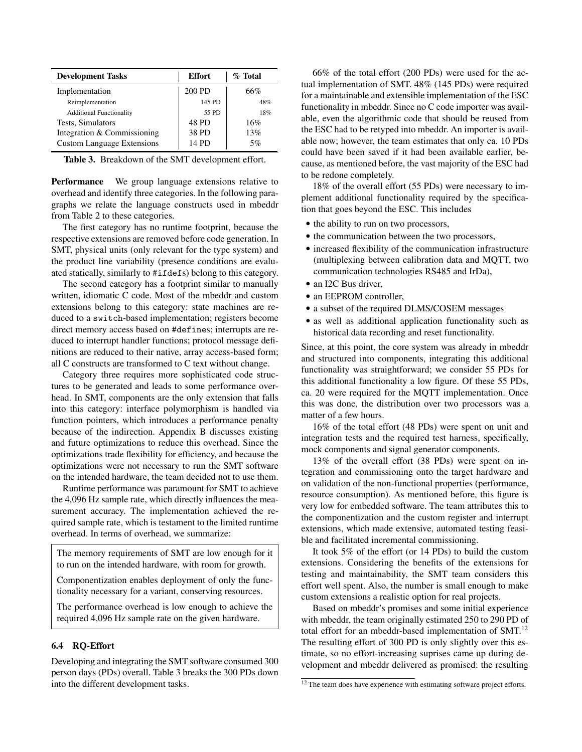| <b>Development Tasks</b>          | <b>Effort</b> | $\%$ Total |  |
|-----------------------------------|---------------|------------|--|
| Implementation                    | 200 PD        | 66%        |  |
| Reimplementation                  | 145 PD        | 48%        |  |
| <b>Additional Functionality</b>   | 55 PD         | 18%        |  |
| Tests, Simulators                 | 48 PD         | 16%        |  |
| Integration & Commissioning       | 38 PD         | 13%        |  |
| <b>Custom Language Extensions</b> | 14 PD         | 5%         |  |

Table 3. Breakdown of the SMT development effort.

Performance We group language extensions relative to overhead and identify three categories. In the following paragraphs we relate the language constructs used in mbeddr from Table 2 to these categories.

The first category has no runtime footprint, because the respective extensions are removed before code generation. In SMT, physical units (only relevant for the type system) and the product line variability (presence conditions are evaluated statically, similarly to #ifdefs) belong to this category.

The second category has a footprint similar to manually written, idiomatic C code. Most of the mbeddr and custom extensions belong to this category: state machines are reduced to a switch-based implementation; registers become direct memory access based on #defines; interrupts are reduced to interrupt handler functions; protocol message definitions are reduced to their native, array access-based form; all C constructs are transformed to C text without change.

Category three requires more sophisticated code structures to be generated and leads to some performance overhead. In SMT, components are the only extension that falls into this category: interface polymorphism is handled via function pointers, which introduces a performance penalty because of the indirection. Appendix B discusses existing and future optimizations to reduce this overhead. Since the optimizations trade flexibility for efficiency, and because the optimizations were not necessary to run the SMT software on the intended hardware, the team decided not to use them.

Runtime performance was paramount for SMT to achieve the 4,096 Hz sample rate, which directly influences the measurement accuracy. The implementation achieved the required sample rate, which is testament to the limited runtime overhead. In terms of overhead, we summarize:

The memory requirements of SMT are low enough for it to run on the intended hardware, with room for growth.

Componentization enables deployment of only the functionality necessary for a variant, conserving resources.

The performance overhead is low enough to achieve the required 4,096 Hz sample rate on the given hardware.

#### 6.4 RQ-Effort

Developing and integrating the SMT software consumed 300 person days (PDs) overall. Table 3 breaks the 300 PDs down into the different development tasks.

66% of the total effort (200 PDs) were used for the actual implementation of SMT. 48% (145 PDs) were required for a maintainable and extensible implementation of the ESC functionality in mbeddr. Since no C code importer was available, even the algorithmic code that should be reused from the ESC had to be retyped into mbeddr. An importer is available now; however, the team estimates that only ca. 10 PDs could have been saved if it had been available earlier, because, as mentioned before, the vast majority of the ESC had to be redone completely.

18% of the overall effort (55 PDs) were necessary to implement additional functionality required by the specification that goes beyond the ESC. This includes

- the ability to run on two processors,
- the communication between the two processors,
- increased flexibility of the communication infrastructure (multiplexing between calibration data and MQTT, two communication technologies RS485 and IrDa),
- an I2C Bus driver.
- an EEPROM controller,
- a subset of the required DLMS/COSEM messages
- as well as additional application functionality such as historical data recording and reset functionality.

Since, at this point, the core system was already in mbeddr and structured into components, integrating this additional functionality was straightforward; we consider 55 PDs for this additional functionality a low figure. Of these 55 PDs, ca. 20 were required for the MQTT implementation. Once this was done, the distribution over two processors was a matter of a few hours.

16% of the total effort (48 PDs) were spent on unit and integration tests and the required test harness, specifically, mock components and signal generator components.

13% of the overall effort (38 PDs) were spent on integration and commissioning onto the target hardware and on validation of the non-functional properties (performance, resource consumption). As mentioned before, this figure is very low for embedded software. The team attributes this to the componentization and the custom register and interrupt extensions, which made extensive, automated testing feasible and facilitated incremental commissioning.

It took 5% of the effort (or 14 PDs) to build the custom extensions. Considering the benefits of the extensions for testing and maintainability, the SMT team considers this effort well spent. Also, the number is small enough to make custom extensions a realistic option for real projects.

Based on mbeddr's promises and some initial experience with mbeddr, the team originally estimated 250 to 290 PD of total effort for an mbeddr-based implementation of SMT.<sup>12</sup> The resulting effort of 300 PD is only slightly over this estimate, so no effort-increasing suprises came up during development and mbeddr delivered as promised: the resulting

<sup>&</sup>lt;sup>12</sup> The team does have experience with estimating software project efforts.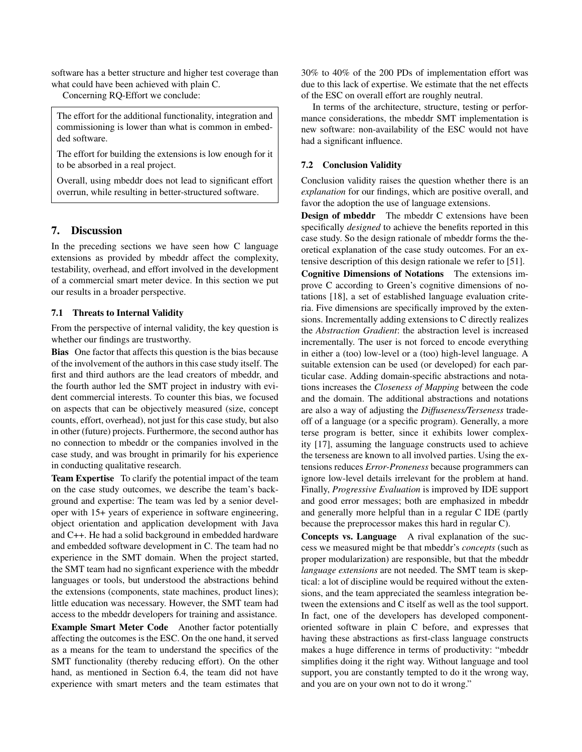software has a better structure and higher test coverage than what could have been achieved with plain C.

Concerning RQ-Effort we conclude:

The effort for the additional functionality, integration and commissioning is lower than what is common in embedded software.

The effort for building the extensions is low enough for it to be absorbed in a real project.

Overall, using mbeddr does not lead to significant effort overrun, while resulting in better-structured software.

# 7. Discussion

In the preceding sections we have seen how C language extensions as provided by mbeddr affect the complexity, testability, overhead, and effort involved in the development of a commercial smart meter device. In this section we put our results in a broader perspective.

#### 7.1 Threats to Internal Validity

From the perspective of internal validity, the key question is whether our findings are trustworthy.

Bias One factor that affects this question is the bias because of the involvement of the authors in this case study itself. The first and third authors are the lead creators of mbeddr, and the fourth author led the SMT project in industry with evident commercial interests. To counter this bias, we focused on aspects that can be objectively measured (size, concept counts, effort, overhead), not just for this case study, but also in other (future) projects. Furthermore, the second author has no connection to mbeddr or the companies involved in the case study, and was brought in primarily for his experience in conducting qualitative research.

Team Expertise To clarify the potential impact of the team on the case study outcomes, we describe the team's background and expertise: The team was led by a senior developer with 15+ years of experience in software engineering, object orientation and application development with Java and C++. He had a solid background in embedded hardware and embedded software development in C. The team had no experience in the SMT domain. When the project started, the SMT team had no signficant experience with the mbeddr languages or tools, but understood the abstractions behind the extensions (components, state machines, product lines); little education was necessary. However, the SMT team had access to the mbeddr developers for training and assistance.

Example Smart Meter Code Another factor potentially affecting the outcomes is the ESC. On the one hand, it served as a means for the team to understand the specifics of the SMT functionality (thereby reducing effort). On the other hand, as mentioned in Section 6.4, the team did not have experience with smart meters and the team estimates that

30% to 40% of the 200 PDs of implementation effort was due to this lack of expertise. We estimate that the net effects of the ESC on overall effort are roughly neutral.

In terms of the architecture, structure, testing or performance considerations, the mbeddr SMT implementation is new software: non-availability of the ESC would not have had a significant influence.

#### 7.2 Conclusion Validity

Conclusion validity raises the question whether there is an *explanation* for our findings, which are positive overall, and favor the adoption the use of language extensions.

Design of mbeddr The mbeddr C extensions have been specifically *designed* to achieve the benefits reported in this case study. So the design rationale of mbeddr forms the theoretical explanation of the case study outcomes. For an extensive description of this design rationale we refer to [51].

Cognitive Dimensions of Notations The extensions improve C according to Green's cognitive dimensions of notations [18], a set of established language evaluation criteria. Five dimensions are specifically improved by the extensions. Incrementally adding extensions to C directly realizes the *Abstraction Gradient*: the abstraction level is increased incrementally. The user is not forced to encode everything in either a (too) low-level or a (too) high-level language. A suitable extension can be used (or developed) for each particular case. Adding domain-specific abstractions and notations increases the *Closeness of Mapping* between the code and the domain. The additional abstractions and notations are also a way of adjusting the *Diffuseness/Terseness* tradeoff of a language (or a specific program). Generally, a more terse program is better, since it exhibits lower complexity [17], assuming the language constructs used to achieve the terseness are known to all involved parties. Using the extensions reduces *Error-Proneness* because programmers can ignore low-level details irrelevant for the problem at hand. Finally, *Progressive Evaluation* is improved by IDE support and good error messages; both are emphasized in mbeddr and generally more helpful than in a regular C IDE (partly because the preprocessor makes this hard in regular C).

Concepts vs. Language A rival explanation of the success we measured might be that mbeddr's *concepts* (such as proper modularization) are responsible, but that the mbeddr *language extensions* are not needed. The SMT team is skeptical: a lot of discipline would be required without the extensions, and the team appreciated the seamless integration between the extensions and C itself as well as the tool support. In fact, one of the developers has developed componentoriented software in plain C before, and expresses that having these abstractions as first-class language constructs makes a huge difference in terms of productivity: "mbeddr simplifies doing it the right way. Without language and tool support, you are constantly tempted to do it the wrong way, and you are on your own not to do it wrong."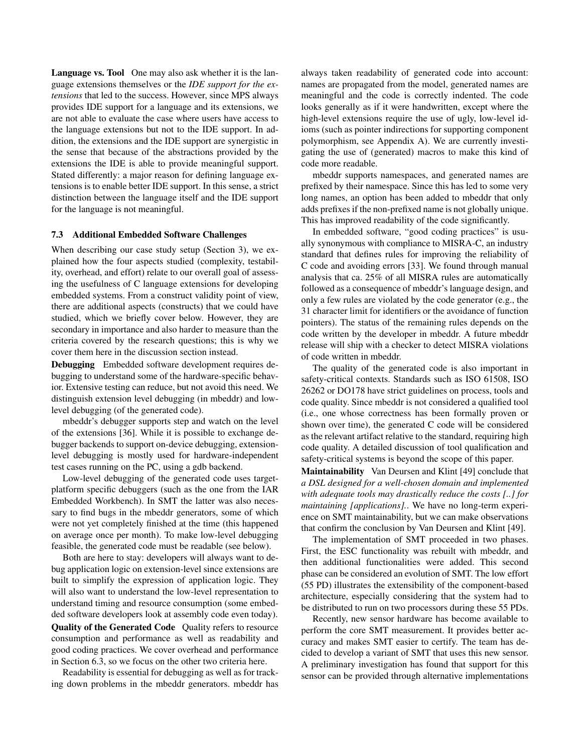Language vs. Tool One may also ask whether it is the language extensions themselves or the *IDE support for the extensions* that led to the success. However, since MPS always provides IDE support for a language and its extensions, we are not able to evaluate the case where users have access to the language extensions but not to the IDE support. In addition, the extensions and the IDE support are synergistic in the sense that because of the abstractions provided by the extensions the IDE is able to provide meaningful support. Stated differently: a major reason for defining language extensions is to enable better IDE support. In this sense, a strict distinction between the language itself and the IDE support for the language is not meaningful.

#### 7.3 Additional Embedded Software Challenges

When describing our case study setup (Section 3), we explained how the four aspects studied (complexity, testability, overhead, and effort) relate to our overall goal of assessing the usefulness of C language extensions for developing embedded systems. From a construct validity point of view, there are additional aspects (constructs) that we could have studied, which we briefly cover below. However, they are secondary in importance and also harder to measure than the criteria covered by the research questions; this is why we cover them here in the discussion section instead.

Debugging Embedded software development requires debugging to understand some of the hardware-specific behavior. Extensive testing can reduce, but not avoid this need. We distinguish extension level debugging (in mbeddr) and lowlevel debugging (of the generated code).

mbeddr's debugger supports step and watch on the level of the extensions [36]. While it is possible to exchange debugger backends to support on-device debugging, extensionlevel debugging is mostly used for hardware-independent test cases running on the PC, using a gdb backend.

Low-level debugging of the generated code uses targetplatform specific debuggers (such as the one from the IAR Embedded Workbench). In SMT the latter was also necessary to find bugs in the mbeddr generators, some of which were not yet completely finished at the time (this happened on average once per month). To make low-level debugging feasible, the generated code must be readable (see below).

Both are here to stay: developers will always want to debug application logic on extension-level since extensions are built to simplify the expression of application logic. They will also want to understand the low-level representation to understand timing and resource consumption (some embedded software developers look at assembly code even today).

Quality of the Generated Code Quality refers to resource consumption and performance as well as readability and good coding practices. We cover overhead and performance in Section 6.3, so we focus on the other two criteria here.

Readability is essential for debugging as well as for tracking down problems in the mbeddr generators. mbeddr has always taken readability of generated code into account: names are propagated from the model, generated names are meaningful and the code is correctly indented. The code looks generally as if it were handwritten, except where the high-level extensions require the use of ugly, low-level idioms (such as pointer indirections for supporting component polymorphism, see Appendix A). We are currently investigating the use of (generated) macros to make this kind of code more readable.

mbeddr supports namespaces, and generated names are prefixed by their namespace. Since this has led to some very long names, an option has been added to mbeddr that only adds prefixes if the non-prefixed name is not globally unique. This has improved readability of the code significantly.

In embedded software, "good coding practices" is usually synonymous with compliance to MISRA-C, an industry standard that defines rules for improving the reliability of C code and avoiding errors [33]. We found through manual analysis that ca. 25% of all MISRA rules are automatically followed as a consequence of mbeddr's language design, and only a few rules are violated by the code generator (e.g., the 31 character limit for identifiers or the avoidance of function pointers). The status of the remaining rules depends on the code written by the developer in mbeddr. A future mbeddr release will ship with a checker to detect MISRA violations of code written in mbeddr.

The quality of the generated code is also important in safety-critical contexts. Standards such as ISO 61508, ISO 26262 or DO178 have strict guidelines on process, tools and code quality. Since mbeddr is not considered a qualified tool (i.e., one whose correctness has been formally proven or shown over time), the generated C code will be considered as the relevant artifact relative to the standard, requiring high code quality. A detailed discussion of tool qualification and safety-critical systems is beyond the scope of this paper.

Maintainability Van Deursen and Klint [49] conclude that *a DSL designed for a well-chosen domain and implemented with adequate tools may drastically reduce the costs [..] for maintaining [applications].*. We have no long-term experience on SMT maintainability, but we can make observations that confirm the conclusion by Van Deursen and Klint [49].

The implementation of SMT proceeded in two phases. First, the ESC functionality was rebuilt with mbeddr, and then additional functionalities were added. This second phase can be considered an evolution of SMT. The low effort (55 PD) illustrates the extensibility of the component-based architecture, especially considering that the system had to be distributed to run on two processors during these 55 PDs.

Recently, new sensor hardware has become available to perform the core SMT measurement. It provides better accuracy and makes SMT easier to certify. The team has decided to develop a variant of SMT that uses this new sensor. A preliminary investigation has found that support for this sensor can be provided through alternative implementations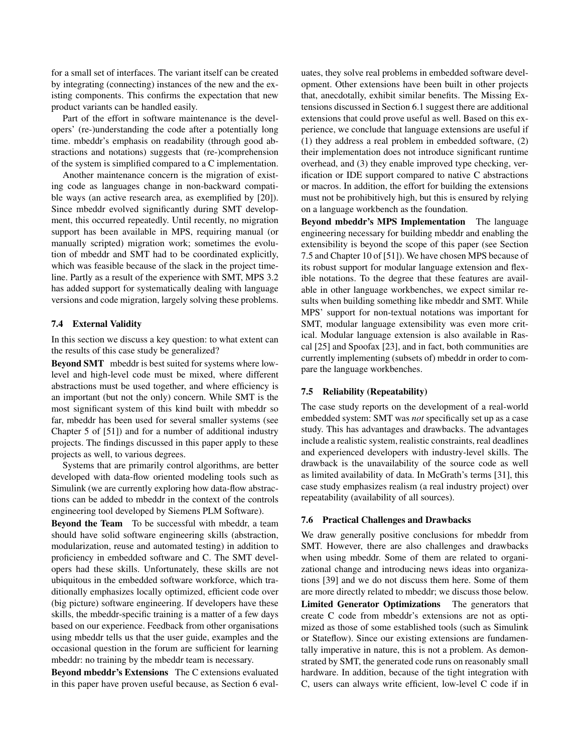for a small set of interfaces. The variant itself can be created by integrating (connecting) instances of the new and the existing components. This confirms the expectation that new product variants can be handled easily.

Part of the effort in software maintenance is the developers' (re-)understanding the code after a potentially long time. mbeddr's emphasis on readability (through good abstractions and notations) suggests that (re-)comprehension of the system is simplified compared to a C implementation.

Another maintenance concern is the migration of existing code as languages change in non-backward compatible ways (an active research area, as exemplified by [20]). Since mbeddr evolved significantly during SMT development, this occurred repeatedly. Until recently, no migration support has been available in MPS, requiring manual (or manually scripted) migration work; sometimes the evolution of mbeddr and SMT had to be coordinated explicitly, which was feasible because of the slack in the project timeline. Partly as a result of the experience with SMT, MPS 3.2 has added support for systematically dealing with language versions and code migration, largely solving these problems.

#### 7.4 External Validity

In this section we discuss a key question: to what extent can the results of this case study be generalized?

Beyond SMT mbeddr is best suited for systems where lowlevel and high-level code must be mixed, where different abstractions must be used together, and where efficiency is an important (but not the only) concern. While SMT is the most significant system of this kind built with mbeddr so far, mbeddr has been used for several smaller systems (see Chapter 5 of [51]) and for a number of additional industry projects. The findings discussed in this paper apply to these projects as well, to various degrees.

Systems that are primarily control algorithms, are better developed with data-flow oriented modeling tools such as Simulink (we are currently exploring how data-flow abstractions can be added to mbeddr in the context of the controls engineering tool developed by Siemens PLM Software).

Beyond the Team To be successful with mbeddr, a team should have solid software engineering skills (abstraction, modularization, reuse and automated testing) in addition to proficiency in embedded software and C. The SMT developers had these skills. Unfortunately, these skills are not ubiquitous in the embedded software workforce, which traditionally emphasizes locally optimized, efficient code over (big picture) software engineering. If developers have these skills, the mbeddr-specific training is a matter of a few days based on our experience. Feedback from other organisations using mbeddr tells us that the user guide, examples and the occasional question in the forum are sufficient for learning mbeddr: no training by the mbeddr team is necessary.

Beyond mbeddr's Extensions The C extensions evaluated in this paper have proven useful because, as Section 6 evaluates, they solve real problems in embedded software development. Other extensions have been built in other projects that, anecdotally, exhibit similar benefits. The Missing Extensions discussed in Section 6.1 suggest there are additional extensions that could prove useful as well. Based on this experience, we conclude that language extensions are useful if (1) they address a real problem in embedded software, (2) their implementation does not introduce significant runtime overhead, and (3) they enable improved type checking, verification or IDE support compared to native C abstractions or macros. In addition, the effort for building the extensions must not be prohibitively high, but this is ensured by relying on a language workbench as the foundation.

Beyond mbeddr's MPS Implementation The language engineering necessary for building mbeddr and enabling the extensibility is beyond the scope of this paper (see Section 7.5 and Chapter 10 of [51]). We have chosen MPS because of its robust support for modular language extension and flexible notations. To the degree that these features are available in other language workbenches, we expect similar results when building something like mbeddr and SMT. While MPS' support for non-textual notations was important for SMT, modular language extensibility was even more critical. Modular language extension is also available in Rascal [25] and Spoofax [23], and in fact, both communities are currently implementing (subsets of) mbeddr in order to compare the language workbenches.

## 7.5 Reliability (Repeatability)

The case study reports on the development of a real-world embedded system: SMT was *not* specifically set up as a case study. This has advantages and drawbacks. The advantages include a realistic system, realistic constraints, real deadlines and experienced developers with industry-level skills. The drawback is the unavailability of the source code as well as limited availability of data. In McGrath's terms [31], this case study emphasizes realism (a real industry project) over repeatability (availability of all sources).

#### 7.6 Practical Challenges and Drawbacks

We draw generally positive conclusions for mbeddr from SMT. However, there are also challenges and drawbacks when using mbeddr. Some of them are related to organizational change and introducing news ideas into organizations [39] and we do not discuss them here. Some of them are more directly related to mbeddr; we discuss those below. Limited Generator Optimizations The generators that create C code from mbeddr's extensions are not as optimized as those of some established tools (such as Simulink or Stateflow). Since our existing extensions are fundamentally imperative in nature, this is not a problem. As demonstrated by SMT, the generated code runs on reasonably small hardware. In addition, because of the tight integration with C, users can always write efficient, low-level C code if in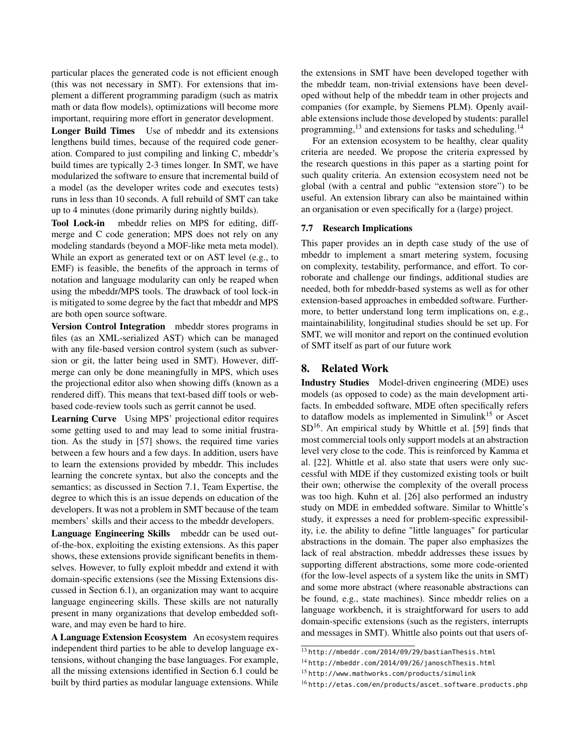particular places the generated code is not efficient enough (this was not necessary in SMT). For extensions that implement a different programming paradigm (such as matrix math or data flow models), optimizations will become more important, requiring more effort in generator development.

Longer Build Times Use of mbeddr and its extensions lengthens build times, because of the required code generation. Compared to just compiling and linking C, mbeddr's build times are typically 2-3 times longer. In SMT, we have modularized the software to ensure that incremental build of a model (as the developer writes code and executes tests) runs in less than 10 seconds. A full rebuild of SMT can take up to 4 minutes (done primarily during nightly builds).

Tool Lock-in mbeddr relies on MPS for editing, diffmerge and C code generation; MPS does not rely on any modeling standards (beyond a MOF-like meta meta model). While an export as generated text or on AST level (e.g., to EMF) is feasible, the benefits of the approach in terms of notation and language modularity can only be reaped when using the mbeddr/MPS tools. The drawback of tool lock-in is mitigated to some degree by the fact that mbeddr and MPS are both open source software.

Version Control Integration mbeddr stores programs in files (as an XML-serialized AST) which can be managed with any file-based version control system (such as subversion or git, the latter being used in SMT). However, diffmerge can only be done meaningfully in MPS, which uses the projectional editor also when showing diffs (known as a rendered diff). This means that text-based diff tools or webbased code-review tools such as gerrit cannot be used.

Learning Curve Using MPS' projectional editor requires some getting used to and may lead to some initial frustration. As the study in [57] shows, the required time varies between a few hours and a few days. In addition, users have to learn the extensions provided by mbeddr. This includes learning the concrete syntax, but also the concepts and the semantics; as discussed in Section 7.1, Team Expertise, the degree to which this is an issue depends on education of the developers. It was not a problem in SMT because of the team members' skills and their access to the mbeddr developers.

Language Engineering Skills mbeddr can be used outof-the-box, exploiting the existing extensions. As this paper shows, these extensions provide significant benefits in themselves. However, to fully exploit mbeddr and extend it with domain-specific extensions (see the Missing Extensions discussed in Section 6.1), an organization may want to acquire language engineering skills. These skills are not naturally present in many organizations that develop embedded software, and may even be hard to hire.

A Language Extension Ecosystem An ecosystem requires independent third parties to be able to develop language extensions, without changing the base languages. For example, all the missing extensions identified in Section 6.1 could be built by third parties as modular language extensions. While the extensions in SMT have been developed together with the mbeddr team, non-trivial extensions have been developed without help of the mbeddr team in other projects and companies (for example, by Siemens PLM). Openly available extensions include those developed by students: parallel programming,<sup>13</sup> and extensions for tasks and scheduling.<sup>14</sup>

For an extension ecosystem to be healthy, clear quality criteria are needed. We propose the criteria expressed by the research questions in this paper as a starting point for such quality criteria. An extension ecosystem need not be global (with a central and public "extension store") to be useful. An extension library can also be maintained within an organisation or even specifically for a (large) project.

#### 7.7 Research Implications

This paper provides an in depth case study of the use of mbeddr to implement a smart metering system, focusing on complexity, testability, performance, and effort. To corroborate and challenge our findings, additional studies are needed, both for mbeddr-based systems as well as for other extension-based approaches in embedded software. Furthermore, to better understand long term implications on, e.g., maintainabilility, longitudinal studies should be set up. For SMT, we will monitor and report on the continued evolution of SMT itself as part of our future work

## 8. Related Work

Industry Studies Model-driven engineering (MDE) uses models (as opposed to code) as the main development artifacts. In embedded software, MDE often specifically refers to dataflow models as implemented in Simulink<sup>15</sup> or Ascet  $SD<sup>16</sup>$ . An empirical study by Whittle et al. [59] finds that most commercial tools only support models at an abstraction level very close to the code. This is reinforced by Kamma et al. [22]. Whittle et al. also state that users were only successful with MDE if they customized existing tools or built their own; otherwise the complexity of the overall process was too high. Kuhn et al. [26] also performed an industry study on MDE in embedded software. Similar to Whittle's study, it expresses a need for problem-specific expressibility, i.e. the ability to define "little languages" for particular abstractions in the domain. The paper also emphasizes the lack of real abstraction. mbeddr addresses these issues by supporting different abstractions, some more code-oriented (for the low-level aspects of a system like the units in SMT) and some more abstract (where reasonable abstractions can be found, e.g., state machines). Since mbeddr relies on a language workbench, it is straightforward for users to add domain-specific extensions (such as the registers, interrupts and messages in SMT). Whittle also points out that users of-

<sup>13</sup> http://mbeddr.com/2014/09/29/bastianThesis.html

<sup>14</sup> http://mbeddr.com/2014/09/26/janoschThesis.html

<sup>15</sup> http://www.mathworks.com/products/simulink

<sup>16</sup> http://etas.com/en/products/ascet\_software\_products.php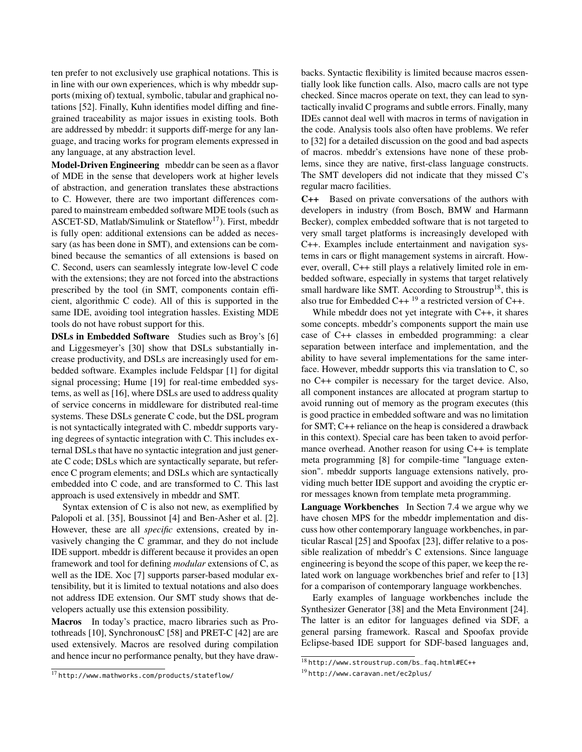ten prefer to not exclusively use graphical notations. This is in line with our own experiences, which is why mbeddr supports (mixing of) textual, symbolic, tabular and graphical notations [52]. Finally, Kuhn identifies model diffing and finegrained traceability as major issues in existing tools. Both are addressed by mbeddr: it supports diff-merge for any language, and tracing works for program elements expressed in any language, at any abstraction level.

Model-Driven Engineering mbeddr can be seen as a flavor of MDE in the sense that developers work at higher levels of abstraction, and generation translates these abstractions to C. However, there are two important differences compared to mainstream embedded software MDE tools (such as ASCET-SD, Matlab/Simulink or Stateflow<sup>17</sup>). First, mbeddr is fully open: additional extensions can be added as necessary (as has been done in SMT), and extensions can be combined because the semantics of all extensions is based on C. Second, users can seamlessly integrate low-level C code with the extensions; they are not forced into the abstractions prescribed by the tool (in SMT, components contain efficient, algorithmic C code). All of this is supported in the same IDE, avoiding tool integration hassles. Existing MDE tools do not have robust support for this.

DSLs in Embedded Software Studies such as Broy's [6] and Liggesmeyer's [30] show that DSLs substantially increase productivity, and DSLs are increasingly used for embedded software. Examples include Feldspar [1] for digital signal processing; Hume [19] for real-time embedded systems, as well as [16], where DSLs are used to address quality of service concerns in middleware for distributed real-time systems. These DSLs generate C code, but the DSL program is not syntactically integrated with C. mbeddr supports varying degrees of syntactic integration with C. This includes external DSLs that have no syntactic integration and just generate C code; DSLs which are syntactically separate, but reference C program elements; and DSLs which are syntactically embedded into C code, and are transformed to C. This last approach is used extensively in mbeddr and SMT.

Syntax extension of C is also not new, as exemplified by Palopoli et al. [35], Boussinot [4] and Ben-Asher et al. [2]. However, these are all *specific* extensions, created by invasively changing the C grammar, and they do not include IDE support. mbeddr is different because it provides an open framework and tool for defining *modular* extensions of C, as well as the IDE. Xoc [7] supports parser-based modular extensibility, but it is limited to textual notations and also does not address IDE extension. Our SMT study shows that developers actually use this extension possibility.

Macros In today's practice, macro libraries such as Protothreads [10], SynchronousC [58] and PRET-C [42] are are used extensively. Macros are resolved during compilation and hence incur no performance penalty, but they have drawbacks. Syntactic flexibility is limited because macros essentially look like function calls. Also, macro calls are not type checked. Since macros operate on text, they can lead to syntactically invalid C programs and subtle errors. Finally, many IDEs cannot deal well with macros in terms of navigation in the code. Analysis tools also often have problems. We refer to [32] for a detailed discussion on the good and bad aspects of macros. mbeddr's extensions have none of these problems, since they are native, first-class language constructs. The SMT developers did not indicate that they missed C's regular macro facilities.

C++ Based on private conversations of the authors with developers in industry (from Bosch, BMW and Harmann Becker), complex embedded software that is not targeted to very small target platforms is increasingly developed with C++. Examples include entertainment and navigation systems in cars or flight management systems in aircraft. However, overall, C++ still plays a relatively limited role in embedded software, especially in systems that target relatively small hardware like SMT. According to Stroustrup<sup>18</sup>, this is also true for Embedded C++ $^{19}$  a restricted version of C++.

While mbeddr does not yet integrate with C++, it shares some concepts. mbeddr's components support the main use case of C++ classes in embedded programming: a clear separation between interface and implementation, and the ability to have several implementations for the same interface. However, mbeddr supports this via translation to C, so no C++ compiler is necessary for the target device. Also, all component instances are allocated at program startup to avoid running out of memory as the program executes (this is good practice in embedded software and was no limitation for SMT; C++ reliance on the heap is considered a drawback in this context). Special care has been taken to avoid performance overhead. Another reason for using C++ is template meta programming [8] for compile-time "language extension". mbeddr supports language extensions natively, providing much better IDE support and avoiding the cryptic error messages known from template meta programming.

Language Workbenches In Section 7.4 we argue why we have chosen MPS for the mbeddr implementation and discuss how other contemporary language workbenches, in particular Rascal [25] and Spoofax [23], differ relative to a possible realization of mbeddr's C extensions. Since language engineering is beyond the scope of this paper, we keep the related work on language workbenches brief and refer to [13] for a comparison of contemporary language workbenches.

Early examples of language workbenches include the Synthesizer Generator [38] and the Meta Environment [24]. The latter is an editor for languages defined via SDF, a general parsing framework. Rascal and Spoofax provide Eclipse-based IDE support for SDF-based languages and,

<sup>17</sup> http://www.mathworks.com/products/stateflow/

<sup>18</sup> http://www.stroustrup.com/bs\_faq.html#EC++

<sup>19</sup> http://www.caravan.net/ec2plus/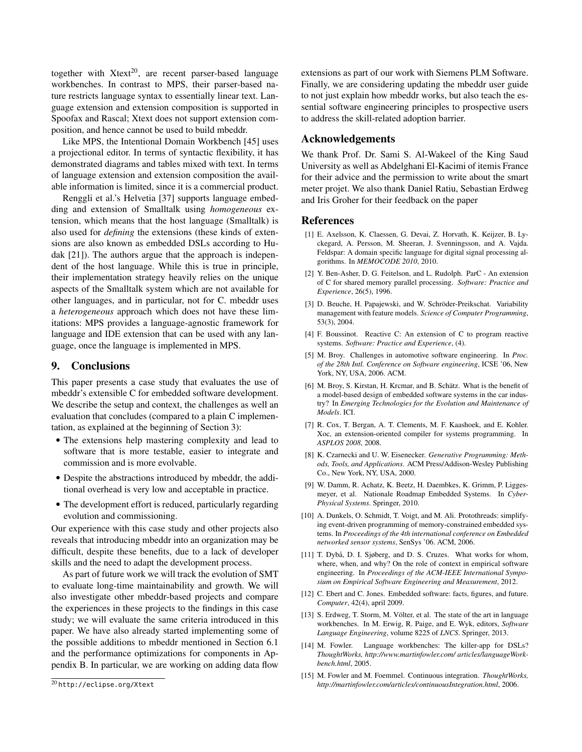together with  $Xtext{text}^{20}$ , are recent parser-based language workbenches. In contrast to MPS, their parser-based nature restricts language syntax to essentially linear text. Language extension and extension composition is supported in Spoofax and Rascal; Xtext does not support extension composition, and hence cannot be used to build mbeddr.

Like MPS, the Intentional Domain Workbench [45] uses a projectional editor. In terms of syntactic flexibility, it has demonstrated diagrams and tables mixed with text. In terms of language extension and extension composition the available information is limited, since it is a commercial product.

Renggli et al.'s Helvetia [37] supports language embedding and extension of Smalltalk using *homogeneous* extension, which means that the host language (Smalltalk) is also used for *defining* the extensions (these kinds of extensions are also known as embedded DSLs according to Hudak [21]). The authors argue that the approach is independent of the host language. While this is true in principle, their implementation strategy heavily relies on the unique aspects of the Smalltalk system which are not available for other languages, and in particular, not for C. mbeddr uses a *heterogeneous* approach which does not have these limitations: MPS provides a language-agnostic framework for language and IDE extension that can be used with any language, once the language is implemented in MPS.

## 9. Conclusions

This paper presents a case study that evaluates the use of mbeddr's extensible C for embedded software development. We describe the setup and context, the challenges as well an evaluation that concludes (compared to a plain C implementation, as explained at the beginning of Section 3):

- The extensions help mastering complexity and lead to software that is more testable, easier to integrate and commission and is more evolvable.
- Despite the abstractions introduced by mbeddr, the additional overhead is very low and acceptable in practice.
- The development effort is reduced, particularly regarding evolution and commissioning.

Our experience with this case study and other projects also reveals that introducing mbeddr into an organization may be difficult, despite these benefits, due to a lack of developer skills and the need to adapt the development process.

As part of future work we will track the evolution of SMT to evaluate long-time maintainability and growth. We will also investigate other mbeddr-based projects and compare the experiences in these projects to the findings in this case study; we will evaluate the same criteria introduced in this paper. We have also already started implementing some of the possible additions to mbeddr mentioned in Section 6.1 and the performance optimizations for components in Appendix B. In particular, we are working on adding data flow

extensions as part of our work with Siemens PLM Software. Finally, we are considering updating the mbeddr user guide to not just explain how mbeddr works, but also teach the essential software engineering principles to prospective users to address the skill-related adoption barrier.

# Acknowledgements

We thank Prof. Dr. Sami S. Al-Wakeel of the King Saud University as well as Abdelghani El-Kacimi of itemis France for their advice and the permission to write about the smart meter projet. We also thank Daniel Ratiu, Sebastian Erdweg and Iris Groher for their feedback on the paper

#### References

- [1] E. Axelsson, K. Claessen, G. Devai, Z. Horvath, K. Keijzer, B. Lyckegard, A. Persson, M. Sheeran, J. Svenningsson, and A. Vajda. Feldspar: A domain specific language for digital signal processing algorithms. In *MEMOCODE 2010*, 2010.
- [2] Y. Ben-Asher, D. G. Feitelson, and L. Rudolph. ParC An extension of C for shared memory parallel processing. *Software: Practice and Experience*, 26(5), 1996.
- [3] D. Beuche, H. Papajewski, and W. Schröder-Preikschat. Variability management with feature models. *Science of Computer Programming*, 53(3), 2004.
- [4] F. Boussinot. Reactive C: An extension of C to program reactive systems. *Software: Practice and Experience*, (4).
- [5] M. Broy. Challenges in automotive software engineering. In *Proc. of the 28th Intl. Conference on Software engineering*, ICSE '06, New York, NY, USA, 2006. ACM.
- [6] M. Broy, S. Kirstan, H. Krcmar, and B. Schätz. What is the benefit of a model-based design of embedded software systems in the car industry? In *Emerging Technologies for the Evolution and Maintenance of Models*. ICI.
- [7] R. Cox, T. Bergan, A. T. Clements, M. F. Kaashoek, and E. Kohler. Xoc, an extension-oriented compiler for systems programming. In *ASPLOS 2008*, 2008.
- [8] K. Czarnecki and U. W. Eisenecker. *Generative Programming: Methods, Tools, and Applications*. ACM Press/Addison-Wesley Publishing Co., New York, NY, USA, 2000.
- [9] W. Damm, R. Achatz, K. Beetz, H. Daembkes, K. Grimm, P. Liggesmeyer, et al. Nationale Roadmap Embedded Systems. In *Cyber-Physical Systems*. Springer, 2010.
- [10] A. Dunkels, O. Schmidt, T. Voigt, and M. Ali. Protothreads: simplifying event-driven programming of memory-constrained embedded systems. In *Proceedings of the 4th international conference on Embedded networked sensor systems*, SenSys '06. ACM, 2006.
- [11] T. Dybå, D. I. Sjøberg, and D. S. Cruzes. What works for whom, where, when, and why? On the role of context in empirical software engineering. In *Proceedings of the ACM-IEEE International Symposium on Empirical Software Engineering and Measurement*, 2012.
- [12] C. Ebert and C. Jones. Embedded software: facts, figures, and future. *Computer*, 42(4), april 2009.
- [13] S. Erdweg, T. Storm, M. Völter, et al. The state of the art in language workbenches. In M. Erwig, R. Paige, and E. Wyk, editors, *Software Language Engineering*, volume 8225 of *LNCS*. Springer, 2013.
- [14] M. Fowler. Language workbenches: The killer-app for DSLs? *ThoughtWorks, http://www.martinfowler.com/ articles/languageWorkbench.html*, 2005.
- [15] M. Fowler and M. Foemmel. Continuous integration. *ThoughtWorks, http://martinfowler.com/articles/continuousIntegration.html*, 2006.

<sup>20</sup> http://eclipse.org/Xtext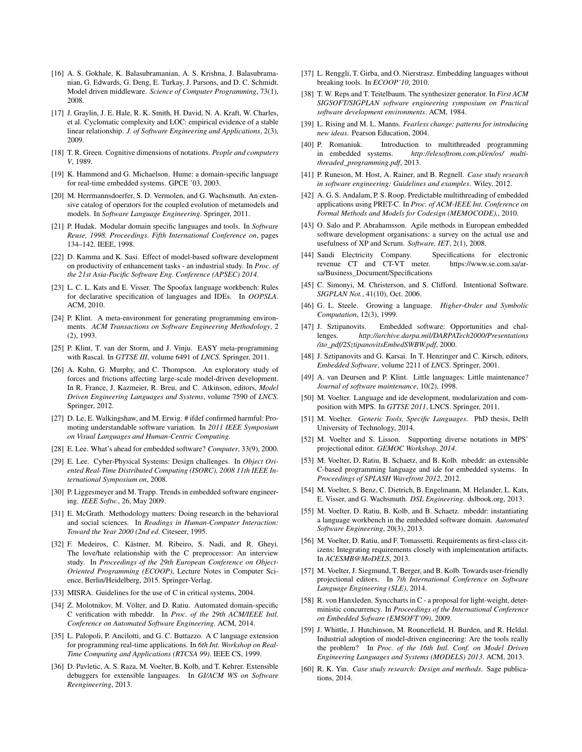- [16] A. S. Gokhale, K. Balasubramanian, A. S. Krishna, J. Balasubramanian, G. Edwards, G. Deng, E. Turkay, J. Parsons, and D. C. Schmidt. Model driven middleware. *Science of Computer Programming*, 73(1), 2008.
- [17] J. Graylin, J. E. Hale, R. K. Smith, H. David, N. A. Kraft, W. Charles, et al. Cyclomatic complexity and LOC: empirical evidence of a stable linear relationship. *J. of Software Engineering and Applications*, 2(3), 2009.
- [18] T. R. Green. Cognitive dimensions of notations. *People and computers V*, 1989.
- [19] K. Hammond and G. Michaelson. Hume: a domain-specific language for real-time embedded systems. GPCE '03, 2003.
- [20] M. Herrmannsdoerfer, S. D. Vermolen, and G. Wachsmuth. An extensive catalog of operators for the coupled evolution of metamodels and models. In *Software Language Engineering*. Springer, 2011.
- [21] P. Hudak. Modular domain specific languages and tools. In *Software Reuse, 1998. Proceedings. Fifth International Conference on*, pages 134–142. IEEE, 1998.
- [22] D. Kamma and K. Sasi. Effect of model-based software development on productivity of enhancement tasks - an industrial study. In *Proc. of the 21st Asia-Pacific Software Eng. Conference (APSEC) 2014*.
- [23] L. C. L. Kats and E. Visser. The Spoofax language workbench: Rules for declarative specification of languages and IDEs. In *OOPSLA*. ACM, 2010.
- [24] P. Klint. A meta-environment for generating programming environments. *ACM Transactions on Software Engineering Methodology*, 2 (2), 1993.
- [25] P. Klint, T. van der Storm, and J. Vinju. EASY meta-programming with Rascal. In *GTTSE III*, volume 6491 of *LNCS*. Springer, 2011.
- [26] A. Kuhn, G. Murphy, and C. Thompson. An exploratory study of forces and frictions affecting large-scale model-driven development. In R. France, J. Kazmeier, R. Breu, and C. Atkinson, editors, *Model Driven Engineering Languages and Systems*, volume 7590 of *LNCS*. Springer, 2012.
- [27] D. Le, E. Walkingshaw, and M. Erwig. # ifdef confirmed harmful: Promoting understandable software variation. In *2011 IEEE Symposium on Visual Languages and Human-Centric Computing*.
- [28] E. Lee. What's ahead for embedded software? *Computer*, 33(9), 2000.
- [29] E. Lee. Cyber-Physical Systems: Design challenges. In *Object Oriented Real-Time Distributed Computing (ISORC), 2008 11th IEEE International Symposium on*, 2008.
- [30] P. Liggesmeyer and M. Trapp. Trends in embedded software engineering. *IEEE Softw.*, 26, May 2009.
- [31] E. McGrath. Methodology matters: Doing research in the behavioral and social sciences. In *Readings in Human-Computer Interaction: Toward the Year 2000 (2nd ed*. Citeseer, 1995.
- [32] F. Medeiros, C. Kästner, M. Ribeiro, S. Nadi, and R. Gheyi. The love/hate relationship with the C preprocessor: An interview study. In *Proceedings of the 29th European Conference on Object-Oriented Programming (ECOOP)*, Lecture Notes in Computer Science, Berlin/Heidelberg, 2015. Springer-Verlag.
- [33] MISRA. Guidelines for the use of C in critical systems, 2004.
- [34] Z. Molotnikov, M. Völter, and D. Ratiu. Automated domain-specific C verification with mbeddr. In *Proc. of the 29th ACM/IEEE Intl. Conference on Automated Software Engineering*. ACM, 2014.
- [35] L. Palopoli, P. Ancilotti, and G. C. Buttazzo. A C language extension for programming real-time applications. In *6th Int. Workshop on Real-Time Computing and Applications (RTCSA 99)*. IEEE CS, 1999.
- [36] D. Pavletic, A. S. Raza, M. Voelter, B. Kolb, and T. Kehrer. Extensible debuggers for extensible languages. In *GI/ACM WS on Software Reengineering*, 2013.
- [37] L. Renggli, T. Girba, and O. Nierstrasz. Embedding languages without breaking tools. In *ECOOP'10*, 2010.
- [38] T. W. Reps and T. Teitelbaum. The synthesizer generator. In *First ACM SIGSOFT/SIGPLAN software engineering symposium on Practical software development environments*. ACM, 1984.
- [39] L. Rising and M. L. Manns. *Fearless change: patterns for introducing new ideas*. Pearson Education, 2004.
- [40] P. Romaniuk. Introduction to multithreaded programming in embedded systems. *http://elesoftrom.com.pl/en/os/ multithreaded\_programming.pdf*, 2013.
- [41] P. Runeson, M. Host, A. Rainer, and B. Regnell. *Case study research in software engineering: Guidelines and examples*. Wiley, 2012.
- [42] A. G. S. Andalam, P. S. Roop. Predictable multithreading of embedded applications using PRET-C. In *Proc. of ACM-IEEE Int. Conference on Formal Methods and Models for Codesign (MEMOCODE),*, 2010.
- [43] O. Salo and P. Abrahamsson. Agile methods in European embedded software development organisations: a survey on the actual use and usefulness of XP and Scrum. *Software, IET*, 2(1), 2008.
- [44] Saudi Electricity Company. Specifications for electronic revenue CT and CT-VT meter. https://www.se.com.sa/arsa/Business\_Document/Specifications
- [45] C. Simonyi, M. Christerson, and S. Clifford. Intentional Software. *SIGPLAN Not.*, 41(10), Oct. 2006.
- [46] G. L. Steele. Growing a language. *Higher-Order and Symbolic Computation*, 12(3), 1999.
- [47] J. Sztipanovits. Embedded software: Opportunities and challenges. *http://archive.darpa.mil/DARPATech2000/Presentations /ito\_pdf/2SztipanovitsEmbedSWBW.pdf*, 2000.
- [48] J. Sztipanovits and G. Karsai. In T. Henzinger and C. Kirsch, editors, *Embedded Software*, volume 2211 of *LNCS*. Springer, 2001.
- [49] A. van Deursen and P. Klint. Little languages: Little maintenance? *Journal of software maintenance*, 10(2), 1998.
- [50] M. Voelter. Language and ide development, modularization and composition with MPS. In *GTTSE 2011*, LNCS. Springer, 2011.
- [51] M. Voelter. *Generic Tools, Specific Languages*. PhD thesis, Delft University of Technology, 2014.
- [52] M. Voelter and S. Lisson. Supporting diverse notations in MPS' projectional editor. *GEMOC Workshop, 2014*.
- [53] M. Voelter, D. Ratiu, B. Schaetz, and B. Kolb. mbeddr: an extensible C-based programming language and ide for embedded systems. In *Proceedings of SPLASH Wavefront 2012*, 2012.
- [54] M. Voelter, S. Benz, C. Dietrich, B. Engelmann, M. Helander, L. Kats, E. Visser, and G. Wachsmuth. *DSL Engineering*. dslbook.org, 2013.
- [55] M. Voelter, D. Ratiu, B. Kolb, and B. Schaetz. mbeddr: instantiating a language workbench in the embedded software domain. *Automated Software Engineering*, 20(3), 2013.
- [56] M. Voelter, D. Ratiu, and F. Tomassetti. Requirements as first-class citizens: Integrating requirements closely with implementation artifacts. In *ACESMB@MoDELS*, 2013.
- [57] M. Voelter, J. Siegmund, T. Berger, and B. Kolb. Towards user-friendly projectional editors. In *7th International Conference on Software Language Engineering (SLE)*, 2014.
- [58] R. von Hanxleden. Synccharts in C a proposal for light-weight, deterministic concurrency. In *Proceedings of the International Conference on Embedded Sofware (EMSOFT'09)*, 2009.
- [59] J. Whittle, J. Hutchinson, M. Rouncefield, H. Burden, and R. Heldal. Industrial adoption of model-driven engineering: Are the tools really the problem? In *Proc. of the 16th Intl. Conf. on Model Driven Engineering Languages and Systems (MODELS) 2013*. ACM, 2013.
- [60] R. K. Yin. *Case study research: Design and methods*. Sage publications, 2014.